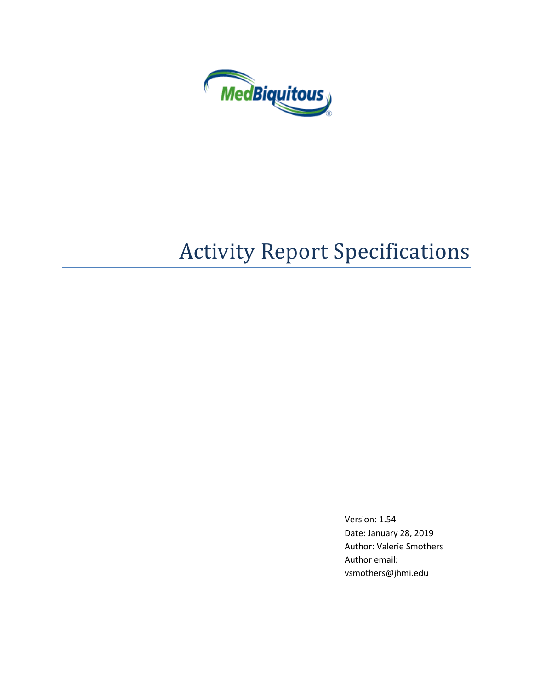

# Activity Report Specifications

Version: 1.54 Date: January 28, 2019 Author: Valerie Smothers Author email: vsmothers@jhmi.edu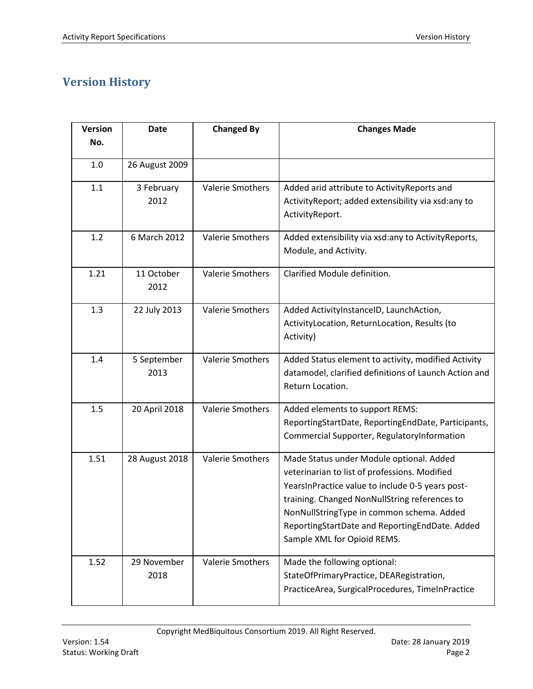# <span id="page-1-0"></span>**Version History**

| <b>Version</b> | <b>Date</b>         | <b>Changed By</b>       | <b>Changes Made</b>                                                                                                                                                                                                                                                                                                          |
|----------------|---------------------|-------------------------|------------------------------------------------------------------------------------------------------------------------------------------------------------------------------------------------------------------------------------------------------------------------------------------------------------------------------|
| No.            |                     |                         |                                                                                                                                                                                                                                                                                                                              |
| 1.0            | 26 August 2009      |                         |                                                                                                                                                                                                                                                                                                                              |
| 1.1            | 3 February<br>2012  | <b>Valerie Smothers</b> | Added arid attribute to ActivityReports and<br>Activity Report; added extensibility via xsd:any to<br>ActivityReport.                                                                                                                                                                                                        |
| 1.2            | 6 March 2012        | <b>Valerie Smothers</b> | Added extensibility via xsd:any to ActivityReports,<br>Module, and Activity.                                                                                                                                                                                                                                                 |
| 1.21           | 11 October<br>2012  | Valerie Smothers        | Clarified Module definition.                                                                                                                                                                                                                                                                                                 |
| 1.3            | 22 July 2013        | <b>Valerie Smothers</b> | Added ActivityInstanceID, LaunchAction,<br>ActivityLocation, ReturnLocation, Results (to<br>Activity)                                                                                                                                                                                                                        |
| 1.4            | 5 September<br>2013 | <b>Valerie Smothers</b> | Added Status element to activity, modified Activity<br>datamodel, clarified definitions of Launch Action and<br>Return Location.                                                                                                                                                                                             |
| 1.5            | 20 April 2018       | Valerie Smothers        | Added elements to support REMS:<br>ReportingStartDate, ReportingEndDate, Participants,<br>Commercial Supporter, RegulatoryInformation                                                                                                                                                                                        |
| 1.51           | 28 August 2018      | Valerie Smothers        | Made Status under Module optional. Added<br>veterinarian to list of professions. Modified<br>YearsInPractice value to include 0-5 years post-<br>training. Changed NonNullString references to<br>NonNullStringType in common schema. Added<br>ReportingStartDate and ReportingEndDate. Added<br>Sample XML for Opioid REMS. |
| 1.52           | 29 November<br>2018 | Valerie Smothers        | Made the following optional:<br>StateOfPrimaryPractice, DEARegistration,<br>PracticeArea, SurgicalProcedures, TimeInPractice                                                                                                                                                                                                 |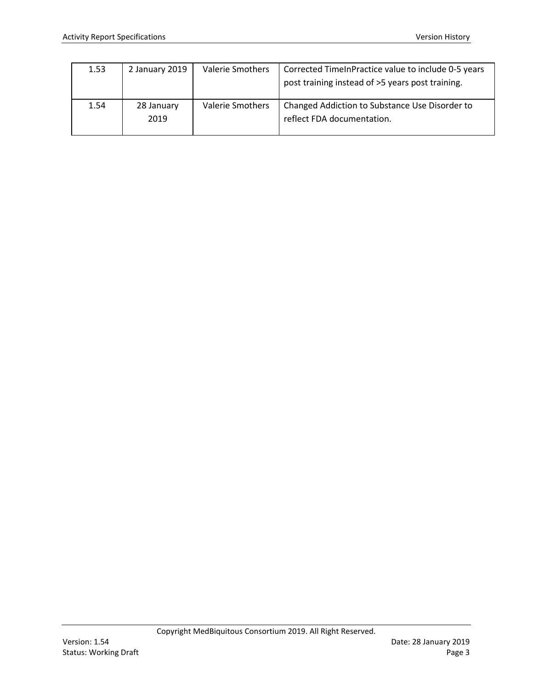| 1.53 | 2 January 2019     | <b>Valerie Smothers</b> | Corrected TimeInPractice value to include 0-5 years<br>post training instead of >5 years post training. |
|------|--------------------|-------------------------|---------------------------------------------------------------------------------------------------------|
| 1.54 | 28 January<br>2019 | Valerie Smothers        | Changed Addiction to Substance Use Disorder to<br>reflect FDA documentation.                            |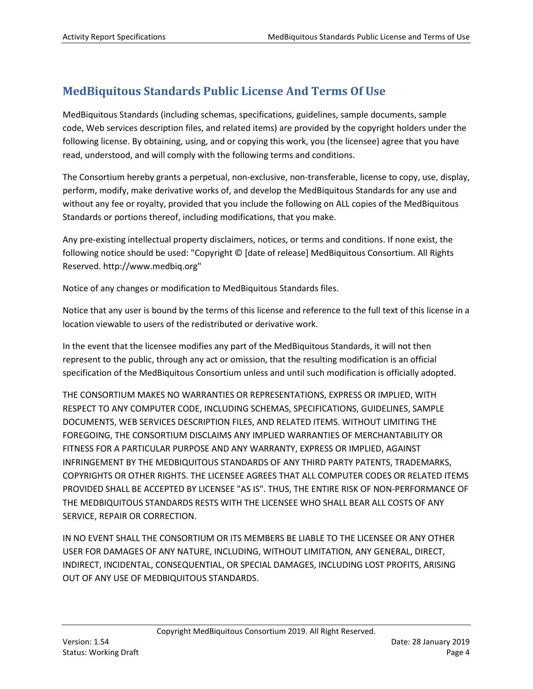# **MedBiquitous Standards Public License And Terms Of Use**

MedBiquitous Standards (including schemas, specifications, guidelines, sample documents, sample code, Web services description files, and related items) are provided by the copyright holders under the following license. By obtaining, using, and or copying this work, you (the licensee) agree that you have read, understood, and will comply with the following terms and conditions.

The Consortium hereby grants a perpetual, non-exclusive, non-transferable, license to copy, use, display, perform, modify, make derivative works of, and develop the MedBiquitous Standards for any use and without any fee or royalty, provided that you include the following on ALL copies of the MedBiquitous Standards or portions thereof, including modifications, that you make.

Any pre-existing intellectual property disclaimers, notices, or terms and conditions. If none exist, the following notice should be used: "Copyright © [date of release] MedBiquitous Consortium. All Rights Reserved. http://www.medbiq.org"

Notice of any changes or modification to MedBiquitous Standards files.

Notice that any user is bound by the terms of this license and reference to the full text of this license in a location viewable to users of the redistributed or derivative work.

In the event that the licensee modifies any part of the MedBiquitous Standards, it will not then represent to the public, through any act or omission, that the resulting modification is an official specification of the MedBiquitous Consortium unless and until such modification is officially adopted.

THE CONSORTIUM MAKES NO WARRANTIES OR REPRESENTATIONS, EXPRESS OR IMPLIED, WITH RESPECT TO ANY COMPUTER CODE, INCLUDING SCHEMAS, SPECIFICATIONS, GUIDELINES, SAMPLE DOCUMENTS, WEB SERVICES DESCRIPTION FILES, AND RELATED ITEMS. WITHOUT LIMITING THE FOREGOING, THE CONSORTIUM DISCLAIMS ANY IMPLIED WARRANTIES OF MERCHANTABILITY OR FITNESS FOR A PARTICULAR PURPOSE AND ANY WARRANTY, EXPRESS OR IMPLIED, AGAINST INFRINGEMENT BY THE MEDBIQUITOUS STANDARDS OF ANY THIRD PARTY PATENTS, TRADEMARKS, COPYRIGHTS OR OTHER RIGHTS. THE LICENSEE AGREES THAT ALL COMPUTER CODES OR RELATED ITEMS PROVIDED SHALL BE ACCEPTED BY LICENSEE "AS IS". THUS, THE ENTIRE RISK OF NON-PERFORMANCE OF THE MEDBIQUITOUS STANDARDS RESTS WITH THE LICENSEE WHO SHALL BEAR ALL COSTS OF ANY SERVICE, REPAIR OR CORRECTION.

IN NO EVENT SHALL THE CONSORTIUM OR ITS MEMBERS BE LIABLE TO THE LICENSEE OR ANY OTHER USER FOR DAMAGES OF ANY NATURE, INCLUDING, WITHOUT LIMITATION, ANY GENERAL, DIRECT, INDIRECT, INCIDENTAL, CONSEQUENTIAL, OR SPECIAL DAMAGES, INCLUDING LOST PROFITS, ARISING OUT OF ANY USE OF MEDBIQUITOUS STANDARDS.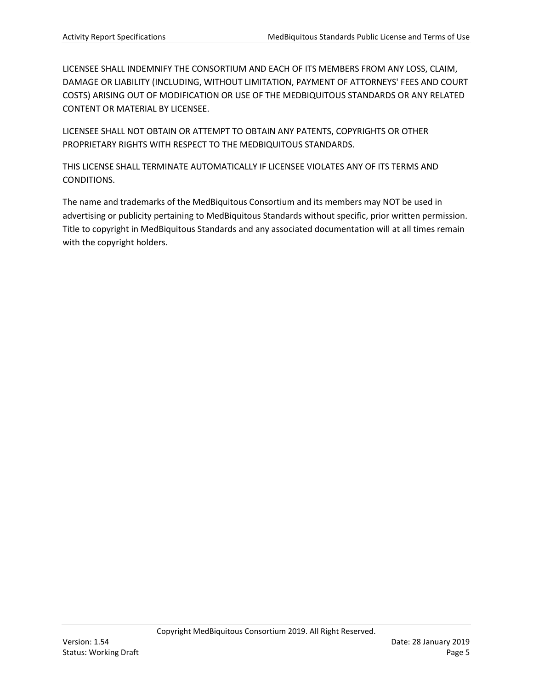LICENSEE SHALL INDEMNIFY THE CONSORTIUM AND EACH OF ITS MEMBERS FROM ANY LOSS, CLAIM, DAMAGE OR LIABILITY (INCLUDING, WITHOUT LIMITATION, PAYMENT OF ATTORNEYS' FEES AND COURT COSTS) ARISING OUT OF MODIFICATION OR USE OF THE MEDBIQUITOUS STANDARDS OR ANY RELATED CONTENT OR MATERIAL BY LICENSEE.

LICENSEE SHALL NOT OBTAIN OR ATTEMPT TO OBTAIN ANY PATENTS, COPYRIGHTS OR OTHER PROPRIETARY RIGHTS WITH RESPECT TO THE MEDBIQUITOUS STANDARDS.

THIS LICENSE SHALL TERMINATE AUTOMATICALLY IF LICENSEE VIOLATES ANY OF ITS TERMS AND CONDITIONS.

The name and trademarks of the MedBiquitous Consortium and its members may NOT be used in advertising or publicity pertaining to MedBiquitous Standards without specific, prior written permission. Title to copyright in MedBiquitous Standards and any associated documentation will at all times remain with the copyright holders.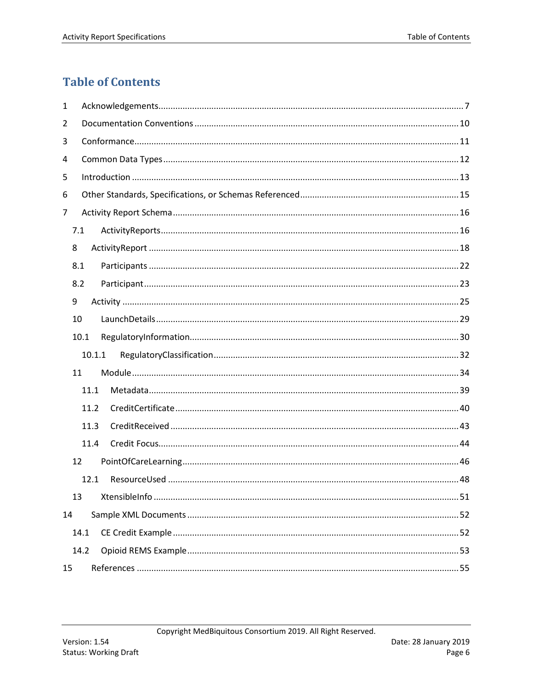# <span id="page-5-0"></span>**Table of Contents**

| 1  |                  |  |
|----|------------------|--|
| 2  |                  |  |
| 3  |                  |  |
| 4  |                  |  |
| 5  |                  |  |
| 6  |                  |  |
| 7  |                  |  |
|    | 7.1              |  |
| 8  |                  |  |
|    | 8.1              |  |
|    | 8.2              |  |
| 9  |                  |  |
|    | 10               |  |
|    | 10.1             |  |
|    | 10.1.1           |  |
|    | 11               |  |
|    | 11.1             |  |
|    | 11.2             |  |
|    | 11.3             |  |
|    | 11.4             |  |
|    | 12 <sup>12</sup> |  |
|    | 12.1             |  |
|    | 13               |  |
| 14 |                  |  |
|    | 14.1             |  |
|    | 14.2             |  |
| 15 |                  |  |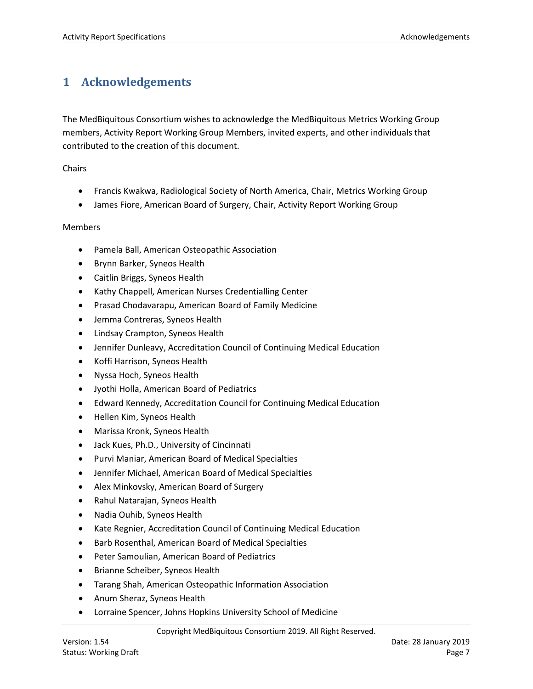# <span id="page-6-0"></span>**1 Acknowledgements**

The MedBiquitous Consortium wishes to acknowledge the MedBiquitous Metrics Working Group members, Activity Report Working Group Members, invited experts, and other individuals that contributed to the creation of this document.

Chairs

- Francis Kwakwa, Radiological Society of North America, Chair, Metrics Working Group
- James Fiore, American Board of Surgery, Chair, Activity Report Working Group

#### Members

- Pamela Ball, American Osteopathic Association
- Brynn Barker, Syneos Health
- Caitlin Briggs, Syneos Health
- Kathy Chappell, American Nurses Credentialling Center
- Prasad Chodavarapu, American Board of Family Medicine
- Jemma Contreras, Syneos Health
- Lindsay Crampton, Syneos Health
- Jennifer Dunleavy, Accreditation Council of Continuing Medical Education
- Koffi Harrison, Syneos Health
- Nyssa Hoch, Syneos Health
- Jyothi Holla, American Board of Pediatrics
- Edward Kennedy, Accreditation Council for Continuing Medical Education
- Hellen Kim, Syneos Health
- Marissa Kronk, Syneos Health
- Jack Kues, Ph.D., University of Cincinnati
- Purvi Maniar, American Board of Medical Specialties
- Jennifer Michael, American Board of Medical Specialties
- Alex Minkovsky, American Board of Surgery
- Rahul Natarajan, Syneos Health
- Nadia Ouhib, Syneos Health
- Kate Regnier, Accreditation Council of Continuing Medical Education
- Barb Rosenthal, American Board of Medical Specialties
- Peter Samoulian, American Board of Pediatrics
- Brianne Scheiber, Syneos Health
- Tarang Shah, American Osteopathic Information Association
- Anum Sheraz, Syneos Health
- Lorraine Spencer, Johns Hopkins University School of Medicine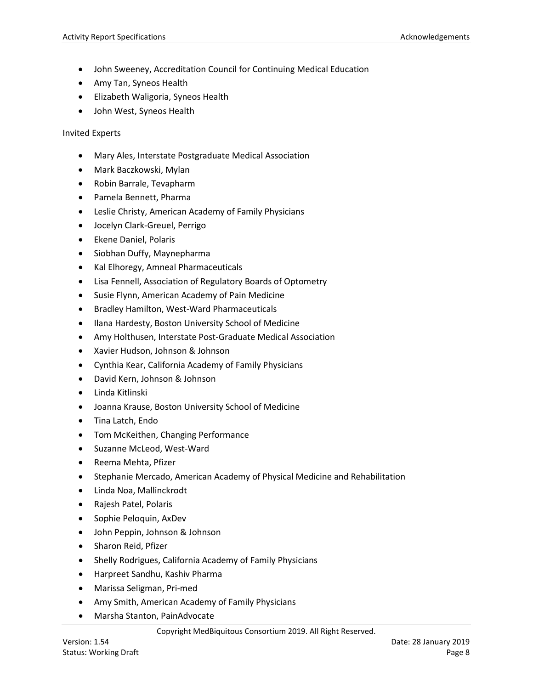- John Sweeney, Accreditation Council for Continuing Medical Education
- Amy Tan, Syneos Health
- Elizabeth Waligoria, Syneos Health
- John West, Syneos Health

Invited Experts

- Mary Ales, Interstate Postgraduate Medical Association
- Mark Baczkowski, Mylan
- Robin Barrale, Tevapharm
- Pamela Bennett, Pharma
- Leslie Christy, American Academy of Family Physicians
- Jocelyn Clark-Greuel, Perrigo
- Ekene Daniel, Polaris
- Siobhan Duffy, Maynepharma
- Kal Elhoregy, Amneal Pharmaceuticals
- Lisa Fennell, Association of Regulatory Boards of Optometry
- Susie Flynn, American Academy of Pain Medicine
- Bradley Hamilton, West-Ward Pharmaceuticals
- Ilana Hardesty, Boston University School of Medicine
- Amy Holthusen, Interstate Post-Graduate Medical Association
- Xavier Hudson, Johnson & Johnson
- Cynthia Kear, California Academy of Family Physicians
- David Kern, Johnson & Johnson
- Linda Kitlinski
- Joanna Krause, Boston University School of Medicine
- Tina Latch, Endo
- Tom McKeithen, Changing Performance
- Suzanne McLeod, West-Ward
- Reema Mehta, Pfizer
- Stephanie Mercado, American Academy of Physical Medicine and Rehabilitation
- Linda Noa, Mallinckrodt
- Rajesh Patel, Polaris
- Sophie Peloquin, AxDev
- John Peppin, Johnson & Johnson
- Sharon Reid, Pfizer
- Shelly Rodrigues, California Academy of Family Physicians
- Harpreet Sandhu, Kashiv Pharma
- Marissa Seligman, Pri-med
- Amy Smith, American Academy of Family Physicians
- Marsha Stanton, PainAdvocate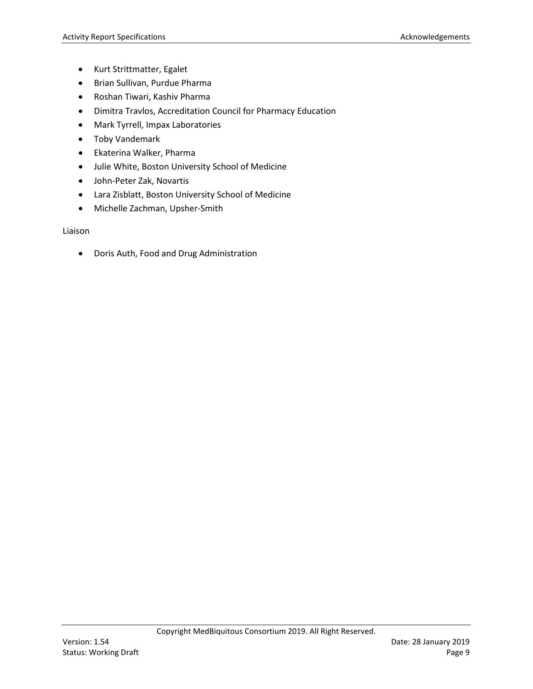- Kurt Strittmatter, Egalet
- Brian Sullivan, Purdue Pharma
- Roshan Tiwari, Kashiv Pharma
- Dimitra Travlos, Accreditation Council for Pharmacy Education
- Mark Tyrrell, Impax Laboratories
- Toby Vandemark
- Ekaterina Walker, Pharma
- Julie White, Boston University School of Medicine
- John-Peter Zak, Novartis
- Lara Zisblatt, Boston University School of Medicine
- Michelle Zachman, Upsher-Smith

Liaison

• Doris Auth, Food and Drug Administration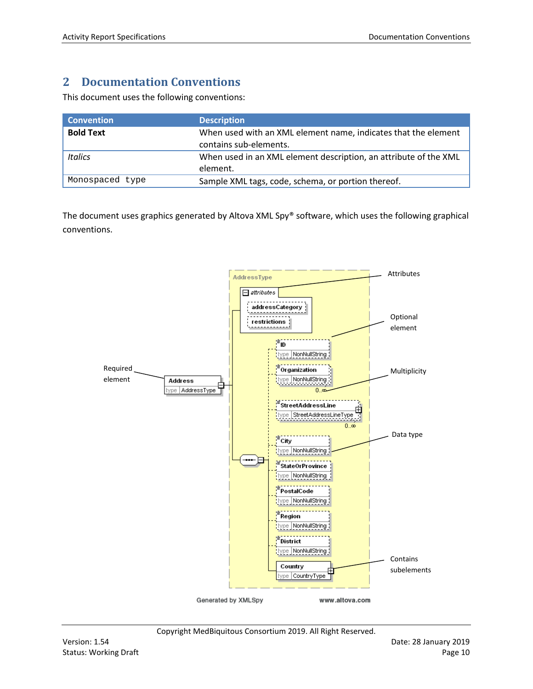# <span id="page-9-0"></span>**2 Documentation Conventions**

This document uses the following conventions:

| <b>Convention</b> | <b>Description</b>                                                                       |
|-------------------|------------------------------------------------------------------------------------------|
| <b>Bold Text</b>  | When used with an XML element name, indicates that the element<br>contains sub-elements. |
| <b>Italics</b>    | When used in an XML element description, an attribute of the XML<br>element.             |
| Monospaced type   | Sample XML tags, code, schema, or portion thereof.                                       |

The document uses graphics generated by Altova XML Spy® software, which uses the following graphical conventions.

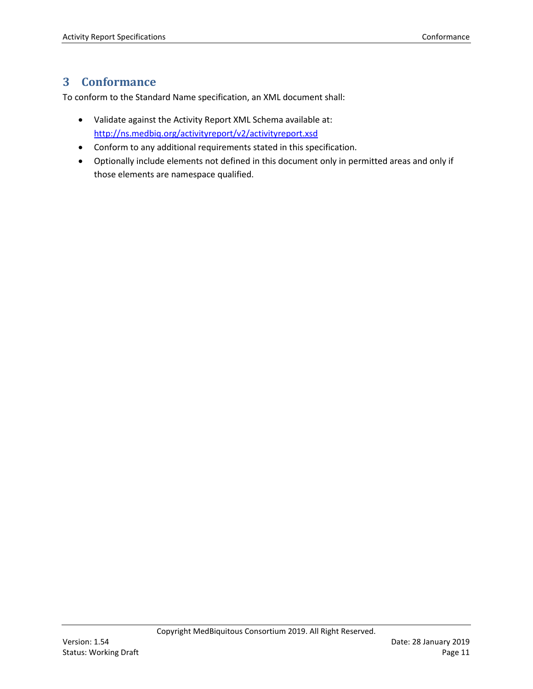# <span id="page-10-0"></span>**3 Conformance**

To conform to the Standard Name specification, an XML document shall:

- Validate against the Activity Report XML Schema available at: <http://ns.medbiq.org/activityreport/v2/activityreport.xsd>
- Conform to any additional requirements stated in this specification.
- Optionally include elements not defined in this document only in permitted areas and only if those elements are namespace qualified.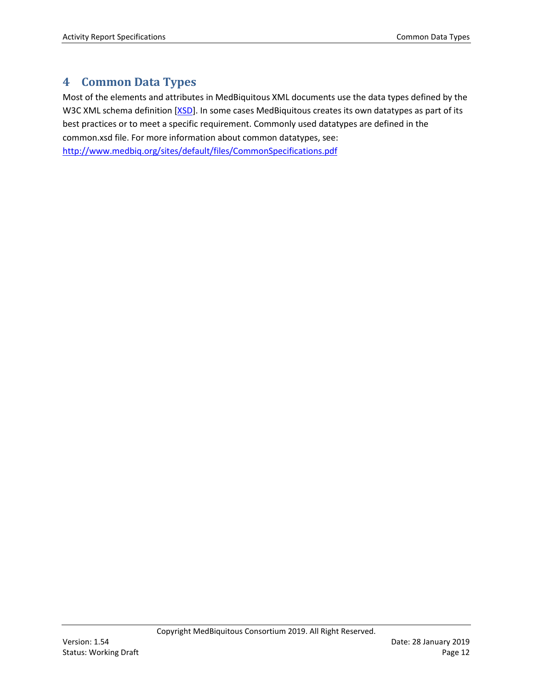## <span id="page-11-0"></span>**4 Common Data Types**

Most of the elements and attributes in MedBiquitous XML documents use the data types defined by the W3C XML schema definition [\[XSD\]](#page-54-1). In some cases MedBiquitous creates its own datatypes as part of its best practices or to meet a specific requirement. Commonly used datatypes are defined in the common.xsd file. For more information about common datatypes, see: <http://www.medbiq.org/sites/default/files/CommonSpecifications.pdf>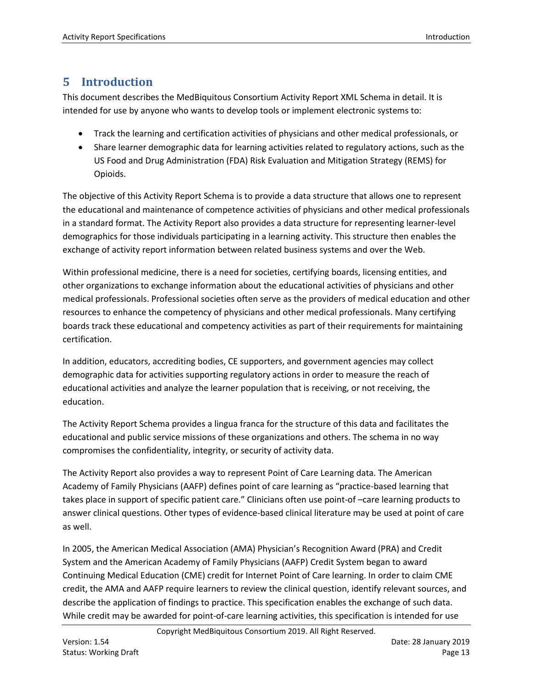# <span id="page-12-0"></span>**5 Introduction**

This document describes the MedBiquitous Consortium Activity Report XML Schema in detail. It is intended for use by anyone who wants to develop tools or implement electronic systems to:

- Track the learning and certification activities of physicians and other medical professionals, or
- Share learner demographic data for learning activities related to regulatory actions, such as the US Food and Drug Administration (FDA) Risk Evaluation and Mitigation Strategy (REMS) for Opioids.

The objective of this Activity Report Schema is to provide a data structure that allows one to represent the educational and maintenance of competence activities of physicians and other medical professionals in a standard format. The Activity Report also provides a data structure for representing learner-level demographics for those individuals participating in a learning activity. This structure then enables the exchange of activity report information between related business systems and over the Web.

Within professional medicine, there is a need for societies, certifying boards, licensing entities, and other organizations to exchange information about the educational activities of physicians and other medical professionals. Professional societies often serve as the providers of medical education and other resources to enhance the competency of physicians and other medical professionals. Many certifying boards track these educational and competency activities as part of their requirements for maintaining certification.

In addition, educators, accrediting bodies, CE supporters, and government agencies may collect demographic data for activities supporting regulatory actions in order to measure the reach of educational activities and analyze the learner population that is receiving, or not receiving, the education.

The Activity Report Schema provides a lingua franca for the structure of this data and facilitates the educational and public service missions of these organizations and others. The schema in no way compromises the confidentiality, integrity, or security of activity data.

The Activity Report also provides a way to represent Point of Care Learning data. The American Academy of Family Physicians (AAFP) defines point of care learning as "practice-based learning that takes place in support of specific patient care." Clinicians often use point-of –care learning products to answer clinical questions. Other types of evidence-based clinical literature may be used at point of care as well.

In 2005, the American Medical Association (AMA) Physician's Recognition Award (PRA) and Credit System and the American Academy of Family Physicians (AAFP) Credit System began to award Continuing Medical Education (CME) credit for Internet Point of Care learning. In order to claim CME credit, the AMA and AAFP require learners to review the clinical question, identify relevant sources, and describe the application of findings to practice. This specification enables the exchange of such data. While credit may be awarded for point-of-care learning activities, this specification is intended for use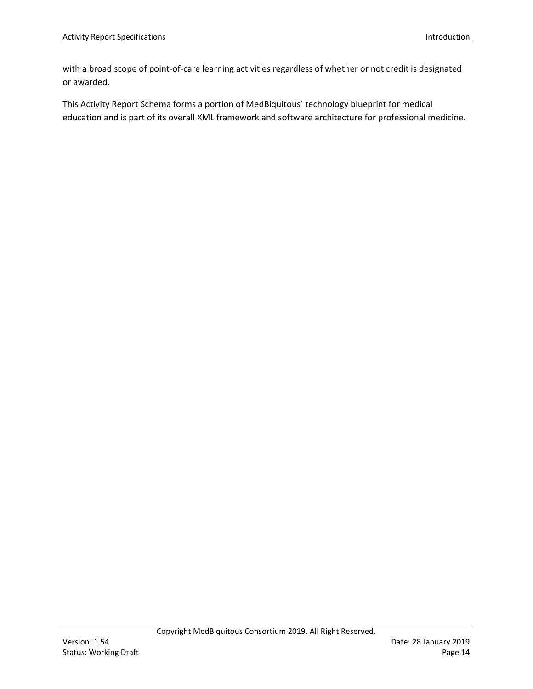with a broad scope of point-of-care learning activities regardless of whether or not credit is designated or awarded.

This Activity Report Schema forms a portion of MedBiquitous' technology blueprint for medical education and is part of its overall XML framework and software architecture for professional medicine.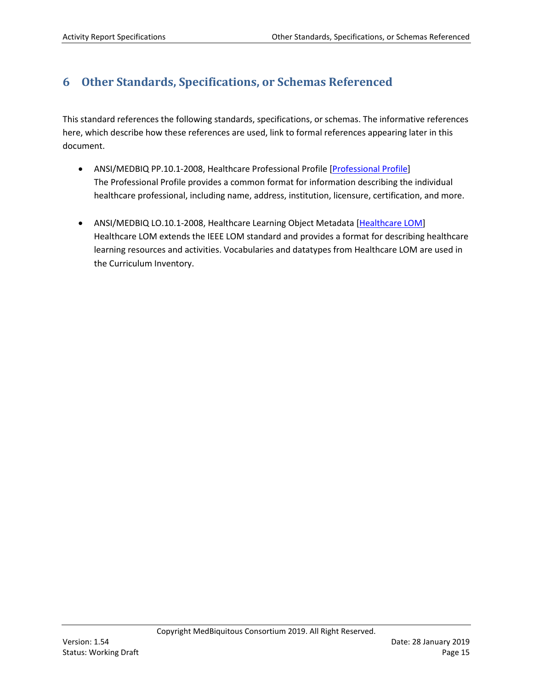# <span id="page-14-0"></span>**6 Other Standards, Specifications, or Schemas Referenced**

This standard references the following standards, specifications, or schemas. The informative references here, which describe how these references are used, link to formal references appearing later in this document.

- ANSI/MEDBIQ PP.10.1-2008, Healthcare Professional Profile [Professional Profile] The Professional Profile provides a common format for information describing the individual healthcare professional, including name, address, institution, licensure, certification, and more.
- ANSI/MEDBIQ LO.10.1-2008, Healthcare Learning Object Metadata [Healthcare LOM] Healthcare LOM extends the IEEE LOM standard and provides a format for describing healthcare learning resources and activities. Vocabularies and datatypes from Healthcare LOM are used in the Curriculum Inventory.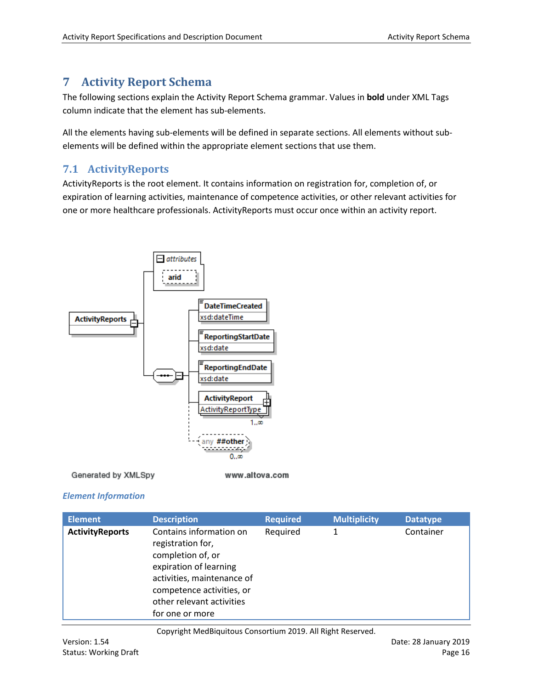# <span id="page-15-0"></span>**7 Activity Report Schema**

The following sections explain the Activity Report Schema grammar. Values in **bold** under XML Tags column indicate that the element has sub-elements.

All the elements having sub-elements will be defined in separate sections. All elements without subelements will be defined within the appropriate element sections that use them.

## <span id="page-15-1"></span>**7.1 ActivityReports**

ActivityReports is the root element. It contains information on registration for, completion of, or expiration of learning activities, maintenance of competence activities, or other relevant activities for one or more healthcare professionals. ActivityReports must occur once within an activity report.



Generated by XMLSpy

www.altova.com

#### *Element Information*

| <b>Element</b>         | <b>Description</b>                                                                                                                                                                                     | <b>Required</b> | <b>Multiplicity</b> | <b>Datatype</b> |
|------------------------|--------------------------------------------------------------------------------------------------------------------------------------------------------------------------------------------------------|-----------------|---------------------|-----------------|
| <b>ActivityReports</b> | Contains information on<br>registration for,<br>completion of, or<br>expiration of learning<br>activities, maintenance of<br>competence activities, or<br>other relevant activities<br>for one or more | Required        | 1                   | Container       |

Copyright MedBiquitous Consortium 2019. All Right Reserved.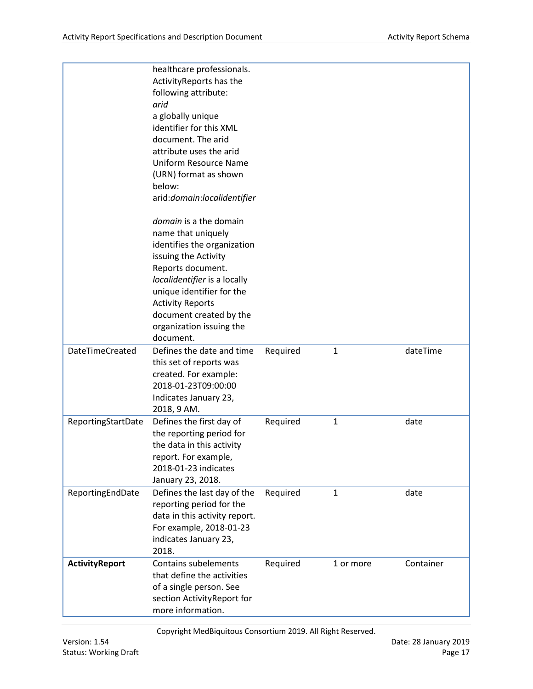|                       | healthcare professionals.<br>Activity Reports has the<br>following attribute:<br>arid<br>a globally unique<br>identifier for this XML<br>document. The arid<br>attribute uses the arid<br><b>Uniform Resource Name</b><br>(URN) format as shown<br>below:<br>arid:domain:localidentifier<br>domain is a the domain<br>name that uniquely<br>identifies the organization |          |              |           |
|-----------------------|-------------------------------------------------------------------------------------------------------------------------------------------------------------------------------------------------------------------------------------------------------------------------------------------------------------------------------------------------------------------------|----------|--------------|-----------|
|                       | issuing the Activity                                                                                                                                                                                                                                                                                                                                                    |          |              |           |
|                       | Reports document.                                                                                                                                                                                                                                                                                                                                                       |          |              |           |
|                       | localidentifier is a locally                                                                                                                                                                                                                                                                                                                                            |          |              |           |
|                       | unique identifier for the                                                                                                                                                                                                                                                                                                                                               |          |              |           |
|                       | <b>Activity Reports</b>                                                                                                                                                                                                                                                                                                                                                 |          |              |           |
|                       | document created by the<br>organization issuing the                                                                                                                                                                                                                                                                                                                     |          |              |           |
|                       | document.                                                                                                                                                                                                                                                                                                                                                               |          |              |           |
| DateTimeCreated       | Defines the date and time                                                                                                                                                                                                                                                                                                                                               | Required | $\mathbf{1}$ | dateTime  |
|                       | this set of reports was                                                                                                                                                                                                                                                                                                                                                 |          |              |           |
|                       | created. For example:<br>2018-01-23T09:00:00                                                                                                                                                                                                                                                                                                                            |          |              |           |
|                       | Indicates January 23,                                                                                                                                                                                                                                                                                                                                                   |          |              |           |
|                       | 2018, 9 AM.                                                                                                                                                                                                                                                                                                                                                             |          |              |           |
| ReportingStartDate    | Defines the first day of                                                                                                                                                                                                                                                                                                                                                | Required | $\mathbf{1}$ | date      |
|                       | the reporting period for                                                                                                                                                                                                                                                                                                                                                |          |              |           |
|                       | the data in this activity                                                                                                                                                                                                                                                                                                                                               |          |              |           |
|                       | report. For example,<br>2018-01-23 indicates                                                                                                                                                                                                                                                                                                                            |          |              |           |
|                       | January 23, 2018.                                                                                                                                                                                                                                                                                                                                                       |          |              |           |
| ReportingEndDate      | Defines the last day of the                                                                                                                                                                                                                                                                                                                                             | Required | $\mathbf{1}$ | date      |
|                       | reporting period for the                                                                                                                                                                                                                                                                                                                                                |          |              |           |
|                       | data in this activity report.<br>For example, 2018-01-23                                                                                                                                                                                                                                                                                                                |          |              |           |
|                       | indicates January 23,                                                                                                                                                                                                                                                                                                                                                   |          |              |           |
|                       | 2018.                                                                                                                                                                                                                                                                                                                                                                   |          |              |           |
| <b>ActivityReport</b> | <b>Contains subelements</b>                                                                                                                                                                                                                                                                                                                                             | Required | 1 or more    | Container |
|                       | that define the activities                                                                                                                                                                                                                                                                                                                                              |          |              |           |
|                       | of a single person. See                                                                                                                                                                                                                                                                                                                                                 |          |              |           |
|                       | section ActivityReport for<br>more information.                                                                                                                                                                                                                                                                                                                         |          |              |           |
|                       |                                                                                                                                                                                                                                                                                                                                                                         |          |              |           |

Copyright MedBiquitous Consortium 2019. All Right Reserved.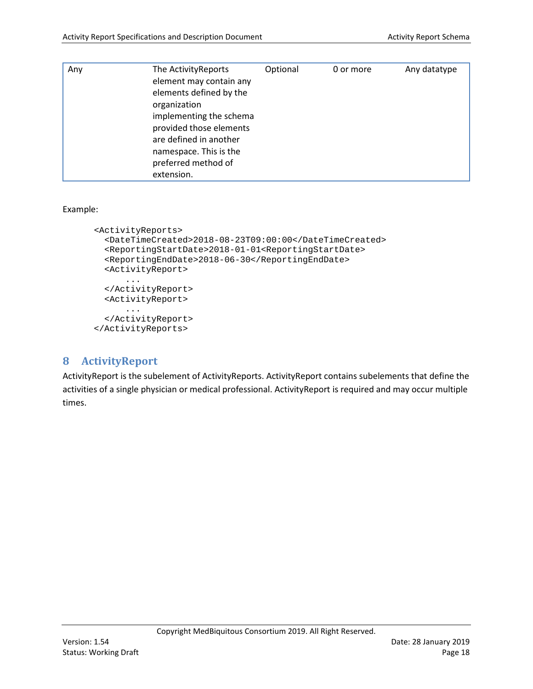| Any | The Activity Reports<br>element may contain any<br>elements defined by the<br>organization<br>implementing the schema<br>provided those elements<br>are defined in another<br>namespace. This is the<br>preferred method of<br>extension. | Optional | 0 or more | Any datatype |
|-----|-------------------------------------------------------------------------------------------------------------------------------------------------------------------------------------------------------------------------------------------|----------|-----------|--------------|
|-----|-------------------------------------------------------------------------------------------------------------------------------------------------------------------------------------------------------------------------------------------|----------|-----------|--------------|

#### Example:

```
<ActivityReports>
  <DateTimeCreated>2018-08-23T09:00:00</DateTimeCreated>
  <ReportingStartDate>2018-01-01<ReportingStartDate>
  <ReportingEndDate>2018-06-30</ReportingEndDate>
   <ActivityReport>
      ...
   </ActivityReport>
   <ActivityReport>
      ...
   </ActivityReport>
</ActivityReports>
```
## <span id="page-17-0"></span>**8 ActivityReport**

ActivityReport is the subelement of ActivityReports. ActivityReport contains subelements that define the activities of a single physician or medical professional. ActivityReport is required and may occur multiple times.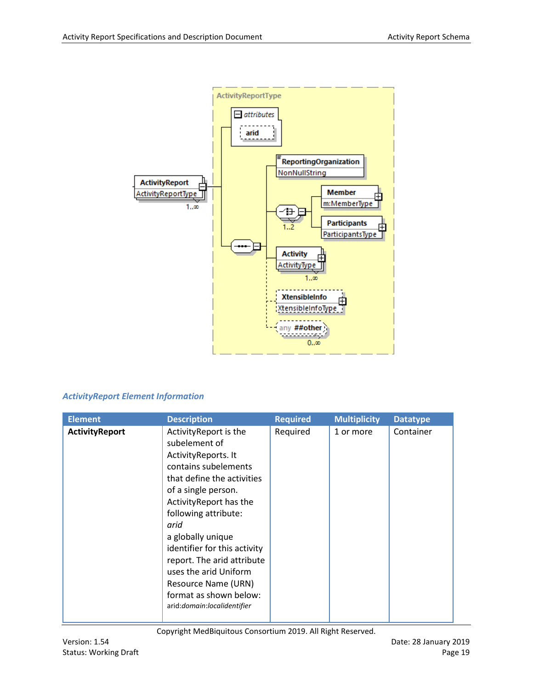

#### *ActivityReport Element Information*

| <b>Element</b><br><b>Description</b>                                                                                                                                                                                                                                                                                                                                                                                       | <b>Required</b> | <b>Multiplicity</b> | <b>Datatype</b> |
|----------------------------------------------------------------------------------------------------------------------------------------------------------------------------------------------------------------------------------------------------------------------------------------------------------------------------------------------------------------------------------------------------------------------------|-----------------|---------------------|-----------------|
| ActivityReport is the<br><b>ActivityReport</b><br>subelement of<br>ActivityReports. It<br>contains subelements<br>that define the activities<br>of a single person.<br>Activity Report has the<br>following attribute:<br>arid<br>a globally unique<br>identifier for this activity<br>report. The arid attribute<br>uses the arid Uniform<br>Resource Name (URN)<br>format as shown below:<br>arid:domain:localidentifier | Required        | 1 or more           | Container       |

Copyright MedBiquitous Consortium 2019. All Right Reserved.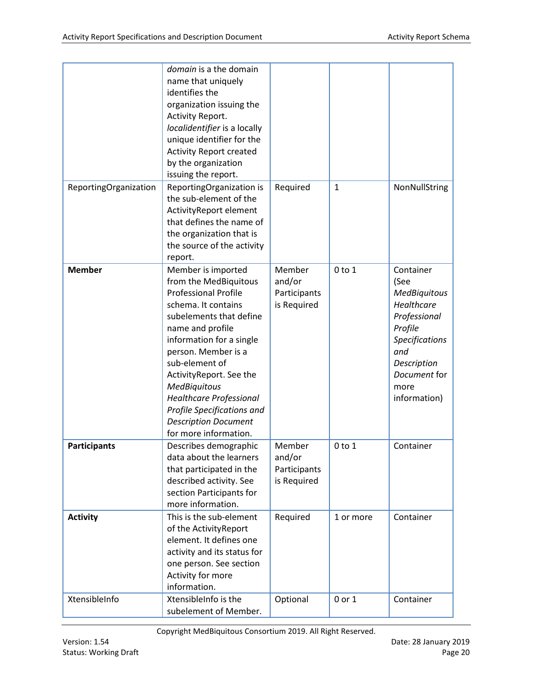| ReportingOrganization | domain is a the domain<br>name that uniquely<br>identifies the<br>organization issuing the<br>Activity Report.<br>localidentifier is a locally<br>unique identifier for the<br><b>Activity Report created</b><br>by the organization<br>issuing the report.<br>ReportingOrganization is<br>the sub-element of the<br>ActivityReport element<br>that defines the name of<br>the organization that is        | Required                                        | $\mathbf{1}$ | NonNullString                                                                                                                                                            |
|-----------------------|------------------------------------------------------------------------------------------------------------------------------------------------------------------------------------------------------------------------------------------------------------------------------------------------------------------------------------------------------------------------------------------------------------|-------------------------------------------------|--------------|--------------------------------------------------------------------------------------------------------------------------------------------------------------------------|
|                       | the source of the activity                                                                                                                                                                                                                                                                                                                                                                                 |                                                 |              |                                                                                                                                                                          |
| <b>Member</b>         | report.<br>Member is imported<br>from the MedBiquitous<br><b>Professional Profile</b><br>schema. It contains<br>subelements that define<br>name and profile<br>information for a single<br>person. Member is a<br>sub-element of<br>ActivityReport. See the<br><b>MedBiquitous</b><br><b>Healthcare Professional</b><br>Profile Specifications and<br><b>Description Document</b><br>for more information. | Member<br>and/or<br>Participants<br>is Required | $0$ to $1$   | Container<br>(See<br><b>MedBiquitous</b><br>Healthcare<br>Professional<br>Profile<br><b>Specifications</b><br>and<br>Description<br>Document for<br>more<br>information) |
| <b>Participants</b>   | Describes demographic<br>data about the learners<br>that participated in the<br>described activity. See<br>section Participants for<br>more information.                                                                                                                                                                                                                                                   | Member<br>and/or<br>Participants<br>is Required | $0$ to $1$   | Container                                                                                                                                                                |
| <b>Activity</b>       | This is the sub-element<br>of the ActivityReport<br>element. It defines one<br>activity and its status for<br>one person. See section<br>Activity for more<br>information.                                                                                                                                                                                                                                 | Required                                        | 1 or more    | Container                                                                                                                                                                |
| XtensibleInfo         | XtensibleInfo is the<br>subelement of Member.                                                                                                                                                                                                                                                                                                                                                              | Optional                                        | 0 or 1       | Container                                                                                                                                                                |

Copyright MedBiquitous Consortium 2019. All Right Reserved.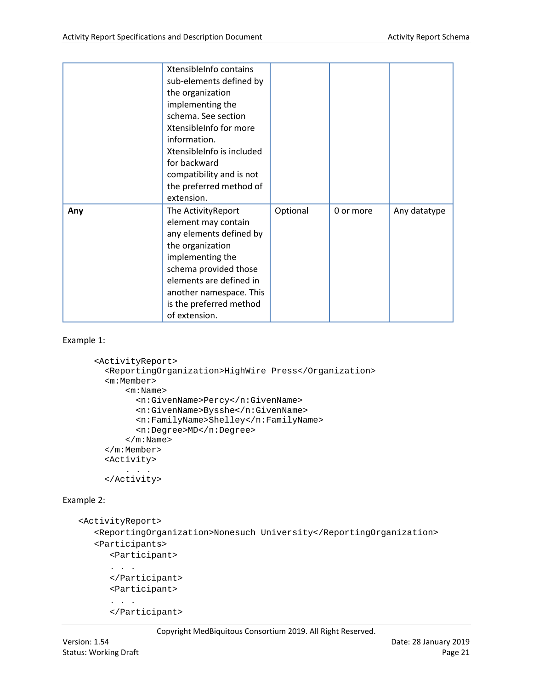|     | XtensibleInfo contains<br>sub-elements defined by<br>the organization<br>implementing the<br>schema. See section<br>XtensibleInfo for more<br>information.<br>XtensibleInfo is included<br>for backward<br>compatibility and is not<br>the preferred method of<br>extension. |          |           |              |
|-----|------------------------------------------------------------------------------------------------------------------------------------------------------------------------------------------------------------------------------------------------------------------------------|----------|-----------|--------------|
| Any | The ActivityReport<br>element may contain<br>any elements defined by<br>the organization<br>implementing the<br>schema provided those<br>elements are defined in<br>another namespace. This<br>is the preferred method<br>of extension.                                      | Optional | 0 or more | Any datatype |

#### Example 1:

```
<ActivityReport>
   <ReportingOrganization>HighWire Press</Organization>
   <m:Member>
      <m:Name>
         <n:GivenName>Percy</n:GivenName>
         <n:GivenName>Bysshe</n:GivenName>
         <n:FamilyName>Shelley</n:FamilyName>
         <n:Degree>MD</n:Degree>
      </m:Name>
   </m:Member>
   <Activity>
      . . .
   </Activity>
```
#### Example 2:

```
<ActivityReport>
   <ReportingOrganization>Nonesuch University</ReportingOrganization>
   <Participants>
      <Participant>
      . . . 
      </Participant>
      <Participant>
      . . . 
      </Participant>
```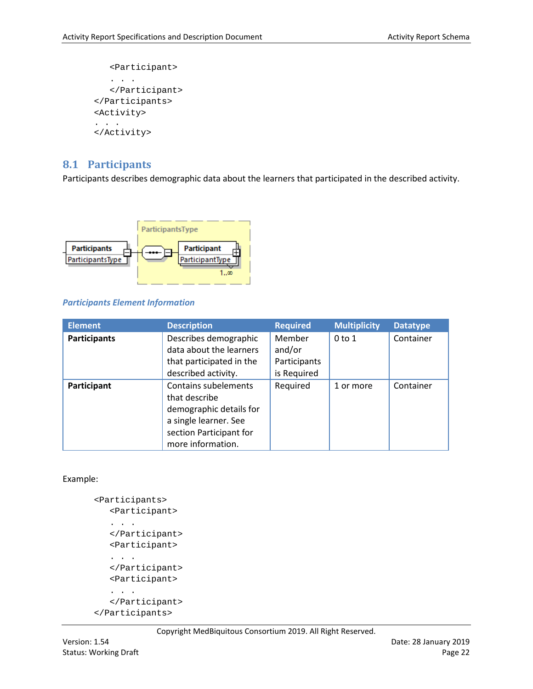```
<Participant>
   . . . 
   </Participant>
</Participants>
<Activity>
. . .
</Activity>
```
## <span id="page-21-0"></span>**8.1 Participants**

Participants describes demographic data about the learners that participated in the described activity.



#### *Participants Element Information*

| <b>Element</b>      | <b>Description</b>                                                                                                                        | <b>Required</b>                                 | <b>Multiplicity</b> | <b>Datatype</b> |
|---------------------|-------------------------------------------------------------------------------------------------------------------------------------------|-------------------------------------------------|---------------------|-----------------|
| <b>Participants</b> | Describes demographic<br>data about the learners<br>that participated in the<br>described activity.                                       | Member<br>and/or<br>Participants<br>is Required | $0$ to $1$          | Container       |
| Participant         | Contains subelements<br>that describe<br>demographic details for<br>a single learner. See<br>section Participant for<br>more information. | Required                                        | 1 or more           | Container       |

#### Example:

```
<Participants>
   <Participant>
   . . . 
   </Participant>
   <Participant>
   . . . 
   </Participant>
   <Participant>
   . . . 
   </Participant>
</Participants>
```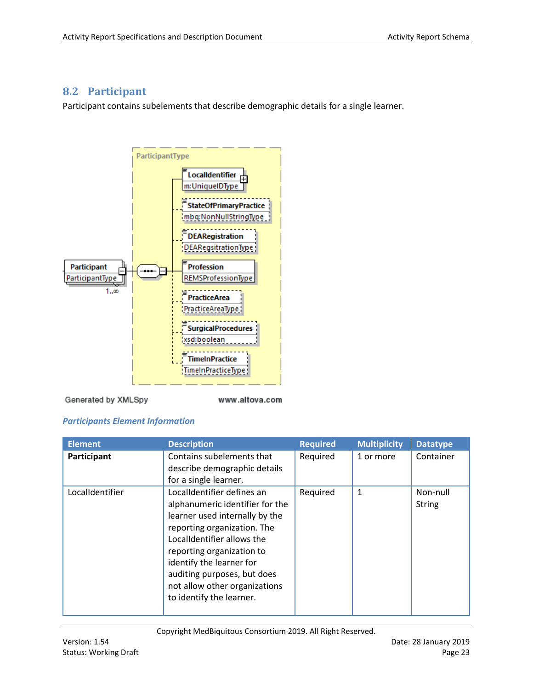## <span id="page-22-0"></span>**8.2 Participant**

Participant contains subelements that describe demographic details for a single learner.



Generated by XMLSpy

www.altova.com

#### *Participants Element Information*

| <b>Element</b>  | <b>Description</b>                                                                                                                                                                                                                                                                                                | <b>Required</b> | <b>Multiplicity</b> | <b>Datatype</b>           |
|-----------------|-------------------------------------------------------------------------------------------------------------------------------------------------------------------------------------------------------------------------------------------------------------------------------------------------------------------|-----------------|---------------------|---------------------------|
| Participant     | Contains subelements that<br>describe demographic details<br>for a single learner.                                                                                                                                                                                                                                | Required        | 1 or more           | Container                 |
| LocalIdentifier | LocalIdentifier defines an<br>alphanumeric identifier for the<br>learner used internally by the<br>reporting organization. The<br>LocalIdentifier allows the<br>reporting organization to<br>identify the learner for<br>auditing purposes, but does<br>not allow other organizations<br>to identify the learner. | Required        | 1                   | Non-null<br><b>String</b> |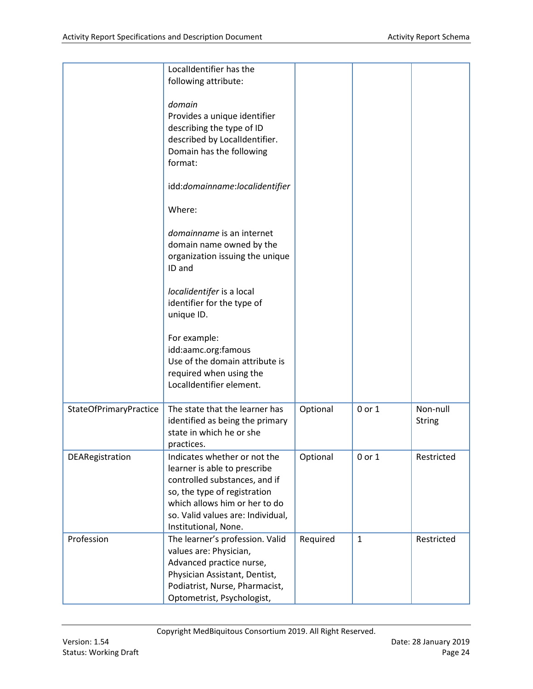|                        | LocalIdentifier has the<br>following attribute:                                                                                                                                                                             |          |              |                           |
|------------------------|-----------------------------------------------------------------------------------------------------------------------------------------------------------------------------------------------------------------------------|----------|--------------|---------------------------|
|                        | domain<br>Provides a unique identifier<br>describing the type of ID<br>described by LocalIdentifier.<br>Domain has the following<br>format:                                                                                 |          |              |                           |
|                        | idd:domainname:localidentifier                                                                                                                                                                                              |          |              |                           |
|                        | Where:                                                                                                                                                                                                                      |          |              |                           |
|                        | domainname is an internet<br>domain name owned by the<br>organization issuing the unique<br>ID and                                                                                                                          |          |              |                           |
|                        | localidentifer is a local<br>identifier for the type of<br>unique ID.                                                                                                                                                       |          |              |                           |
|                        | For example:<br>idd:aamc.org:famous<br>Use of the domain attribute is<br>required when using the<br>LocalIdentifier element.                                                                                                |          |              |                           |
| StateOfPrimaryPractice | The state that the learner has<br>identified as being the primary<br>state in which he or she<br>practices.                                                                                                                 | Optional | 0 or 1       | Non-null<br><b>String</b> |
| DEARegistration        | Indicates whether or not the<br>learner is able to prescribe<br>controlled substances, and if<br>so, the type of registration<br>which allows him or her to do<br>so. Valid values are: Individual,<br>Institutional, None. | Optional | 0 or 1       | Restricted                |
| Profession             | The learner's profession. Valid<br>values are: Physician,<br>Advanced practice nurse,<br>Physician Assistant, Dentist,<br>Podiatrist, Nurse, Pharmacist,<br>Optometrist, Psychologist,                                      | Required | $\mathbf{1}$ | Restricted                |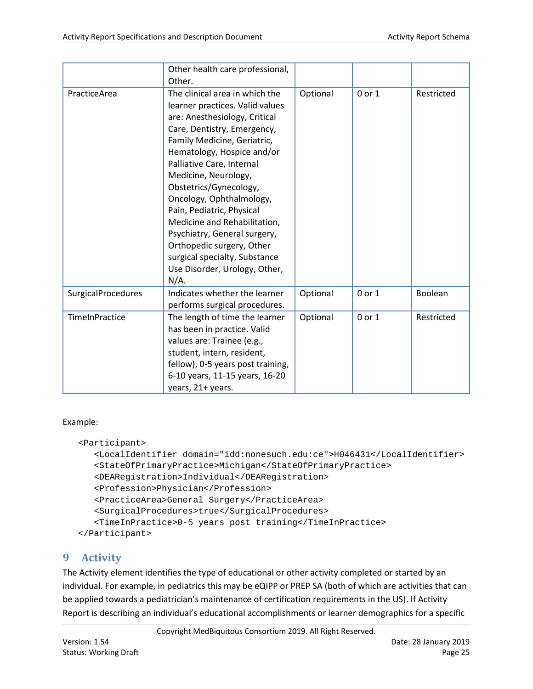|                    | Other health care professional,<br>Other.                                                                                                                                                                                                                                                                                                                                                                                                                                                                        |          |        |            |
|--------------------|------------------------------------------------------------------------------------------------------------------------------------------------------------------------------------------------------------------------------------------------------------------------------------------------------------------------------------------------------------------------------------------------------------------------------------------------------------------------------------------------------------------|----------|--------|------------|
| PracticeArea       | The clinical area in which the<br>learner practices. Valid values<br>are: Anesthesiology, Critical<br>Care, Dentistry, Emergency,<br>Family Medicine, Geriatric,<br>Hematology, Hospice and/or<br>Palliative Care, Internal<br>Medicine, Neurology,<br>Obstetrics/Gynecology,<br>Oncology, Ophthalmology,<br>Pain, Pediatric, Physical<br>Medicine and Rehabilitation,<br>Psychiatry, General surgery,<br>Orthopedic surgery, Other<br>surgical specialty, Substance<br>Use Disorder, Urology, Other,<br>$N/A$ . | Optional | 0 or 1 | Restricted |
| SurgicalProcedures | Indicates whether the learner<br>performs surgical procedures.                                                                                                                                                                                                                                                                                                                                                                                                                                                   | Optional | 0 or 1 | Boolean    |
| TimeInPractice     | The length of time the learner<br>has been in practice. Valid<br>values are: Trainee (e.g.,<br>student, intern, resident,<br>fellow), 0-5 years post training,<br>6-10 years, 11-15 years, 16-20<br>years, 21+ years.                                                                                                                                                                                                                                                                                            | Optional | 0 or 1 | Restricted |

#### Example:

```
<Participant>
  <LocalIdentifier domain="idd:nonesuch.edu:ce">H046431</LocalIdentifier>
  <StateOfPrimaryPractice>Michigan</StateOfPrimaryPractice>
  <DEARegistration>Individual</DEARegistration>
  <Profession>Physician</Profession>
  <PracticeArea>General Surgery</PracticeArea>
  <SurgicalProcedures>true</SurgicalProcedures>
   <TimeInPractice>0-5 years post training</TimeInPractice>
</Participant>
```
## <span id="page-24-0"></span>**9 Activity**

The Activity element identifies the type of educational or other activity completed or started by an individual. For example, in pediatrics this may be eQIPP or PREP SA (both of which are activities that can be applied towards a pediatrician's maintenance of certification requirements in the US). If Activity Report is describing an individual's educational accomplishments or learner demographics for a specific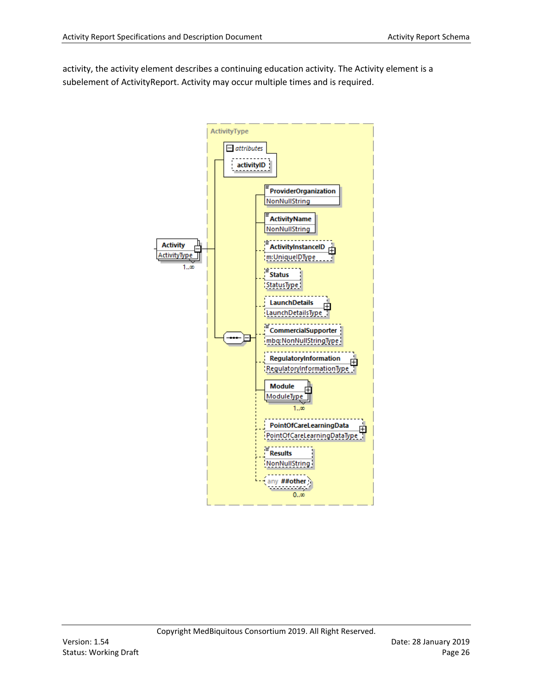activity, the activity element describes a continuing education activity. The Activity element is a subelement of ActivityReport. Activity may occur multiple times and is required.

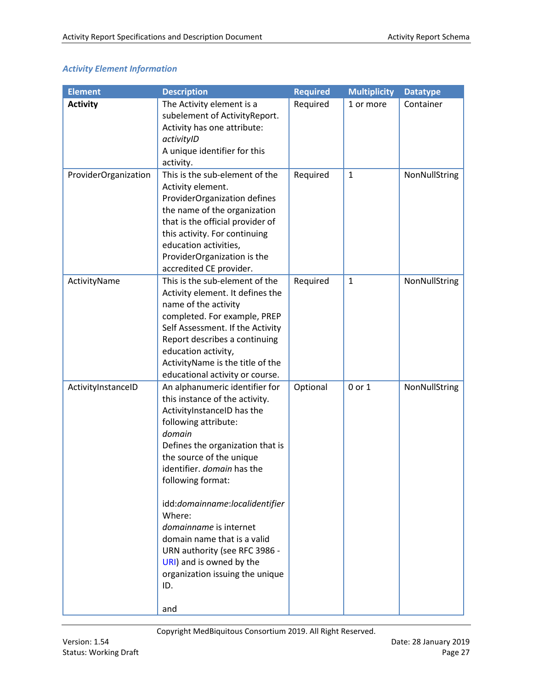## *Activity Element Information*

| <b>Element</b>       | <b>Description</b>               | <b>Required</b> | <b>Multiplicity</b> | <b>Datatype</b> |
|----------------------|----------------------------------|-----------------|---------------------|-----------------|
| <b>Activity</b>      | The Activity element is a        | Required        | 1 or more           | Container       |
|                      | subelement of ActivityReport.    |                 |                     |                 |
|                      | Activity has one attribute:      |                 |                     |                 |
|                      | activityID                       |                 |                     |                 |
|                      | A unique identifier for this     |                 |                     |                 |
|                      | activity.                        |                 |                     |                 |
| ProviderOrganization | This is the sub-element of the   | Required        | $\mathbf{1}$        | NonNullString   |
|                      | Activity element.                |                 |                     |                 |
|                      | ProviderOrganization defines     |                 |                     |                 |
|                      | the name of the organization     |                 |                     |                 |
|                      | that is the official provider of |                 |                     |                 |
|                      | this activity. For continuing    |                 |                     |                 |
|                      | education activities,            |                 |                     |                 |
|                      | ProviderOrganization is the      |                 |                     |                 |
|                      | accredited CE provider.          |                 |                     |                 |
| ActivityName         | This is the sub-element of the   | Required        | $\mathbf{1}$        | NonNullString   |
|                      | Activity element. It defines the |                 |                     |                 |
|                      | name of the activity             |                 |                     |                 |
|                      | completed. For example, PREP     |                 |                     |                 |
|                      | Self Assessment. If the Activity |                 |                     |                 |
|                      | Report describes a continuing    |                 |                     |                 |
|                      | education activity,              |                 |                     |                 |
|                      | ActivityName is the title of the |                 |                     |                 |
|                      | educational activity or course.  |                 |                     |                 |
| ActivityInstanceID   | An alphanumeric identifier for   | Optional        | 0 or 1              | NonNullString   |
|                      | this instance of the activity.   |                 |                     |                 |
|                      | ActivityInstanceID has the       |                 |                     |                 |
|                      | following attribute:             |                 |                     |                 |
|                      | domain                           |                 |                     |                 |
|                      | Defines the organization that is |                 |                     |                 |
|                      | the source of the unique         |                 |                     |                 |
|                      | identifier. domain has the       |                 |                     |                 |
|                      | following format:                |                 |                     |                 |
|                      | idd:domainname:localidentifier   |                 |                     |                 |
|                      | Where:                           |                 |                     |                 |
|                      | domainname is internet           |                 |                     |                 |
|                      | domain name that is a valid      |                 |                     |                 |
|                      | URN authority (see RFC 3986 -    |                 |                     |                 |
|                      | URI) and is owned by the         |                 |                     |                 |
|                      | organization issuing the unique  |                 |                     |                 |
|                      | ID.                              |                 |                     |                 |
|                      |                                  |                 |                     |                 |
|                      | and                              |                 |                     |                 |

Copyright MedBiquitous Consortium 2019. All Right Reserved.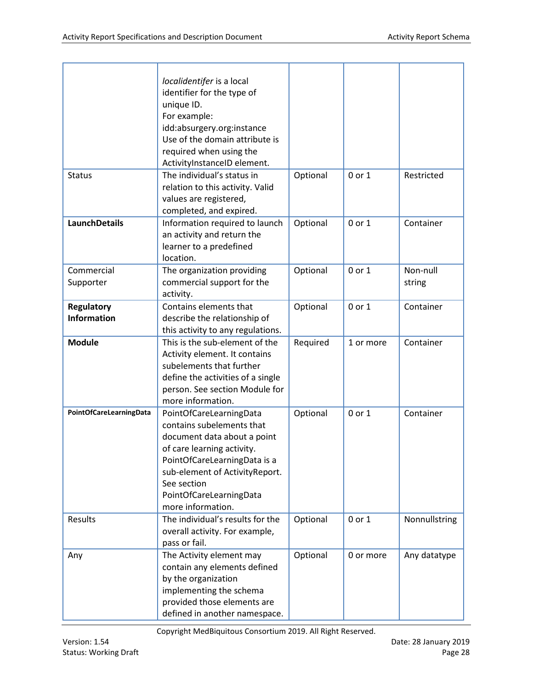|                                         | localidentifer is a local<br>identifier for the type of<br>unique ID.<br>For example:<br>idd:absurgery.org:instance<br>Use of the domain attribute is<br>required when using the<br>ActivityInstanceID element.                                    |          |           |                    |
|-----------------------------------------|----------------------------------------------------------------------------------------------------------------------------------------------------------------------------------------------------------------------------------------------------|----------|-----------|--------------------|
| <b>Status</b>                           | The individual's status in<br>relation to this activity. Valid<br>values are registered,<br>completed, and expired.                                                                                                                                | Optional | 0 or 1    | Restricted         |
| <b>LaunchDetails</b>                    | Information required to launch<br>an activity and return the<br>learner to a predefined<br>location.                                                                                                                                               | Optional | 0 or 1    | Container          |
| Commercial<br>Supporter                 | The organization providing<br>commercial support for the<br>activity.                                                                                                                                                                              | Optional | 0 or 1    | Non-null<br>string |
| <b>Regulatory</b><br><b>Information</b> | Contains elements that<br>describe the relationship of<br>this activity to any regulations.                                                                                                                                                        | Optional | 0 or 1    | Container          |
| <b>Module</b>                           | This is the sub-element of the<br>Activity element. It contains<br>subelements that further<br>define the activities of a single<br>person. See section Module for<br>more information.                                                            | Required | 1 or more | Container          |
| PointOfCareLearningData                 | PointOfCareLearningData<br>contains subelements that<br>document data about a point<br>of care learning activity.<br>PointOfCareLearningData is a<br>sub-element of ActivityReport.<br>See section<br>PointOfCareLearningData<br>more information. | Optional | 0 or 1    | Container          |
| Results                                 | The individual's results for the<br>overall activity. For example,<br>pass or fail.                                                                                                                                                                | Optional | 0 or 1    | Nonnullstring      |
| Any                                     | The Activity element may<br>contain any elements defined<br>by the organization<br>implementing the schema<br>provided those elements are<br>defined in another namespace.                                                                         | Optional | 0 or more | Any datatype       |

Copyright MedBiquitous Consortium 2019. All Right Reserved.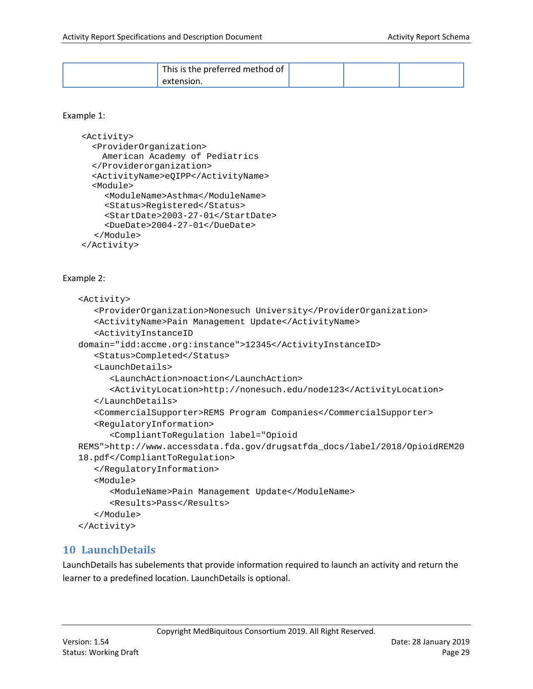| This is the preferred method of |  |  |
|---------------------------------|--|--|
|                                 |  |  |

#### Example 1:

```
<Activity>
  <ProviderOrganization>
     American Academy of Pediatrics 
   </Providerorganization>
   <ActivityName>eQIPP</ActivityName>
   <Module>
     <ModuleName>Asthma</ModuleName>
     <Status>Registered</Status>
     <StartDate>2003-27-01</StartDate>
     <DueDate>2004-27-01</DueDate>
  </Module>
</Activity>
```
#### Example 2:

```
<Activity>
   <ProviderOrganization>Nonesuch University</ProviderOrganization>
   <ActivityName>Pain Management Update</ActivityName>
   <ActivityInstanceID 
domain="idd:accme.org:instance">12345</ActivityInstanceID>
   <Status>Completed</Status>
   <LaunchDetails>
      <LaunchAction>noaction</LaunchAction>
      <ActivityLocation>http://nonesuch.edu/node123</ActivityLocation>
   </LaunchDetails>
   <CommercialSupporter>REMS Program Companies</CommercialSupporter>
   <RegulatoryInformation>
      <CompliantToRegulation label="Opioid 
REMS">http://www.accessdata.fda.gov/drugsatfda_docs/label/2018/OpioidREM20
18.pdf</CompliantToRegulation>
   </RegulatoryInformation>
   <Module>
      <ModuleName>Pain Management Update</ModuleName>
      <Results>Pass</Results>
   </Module>
</Activity>
```
## <span id="page-28-0"></span>**10 LaunchDetails**

LaunchDetails has subelements that provide information required to launch an activity and return the learner to a predefined location. LaunchDetails is optional.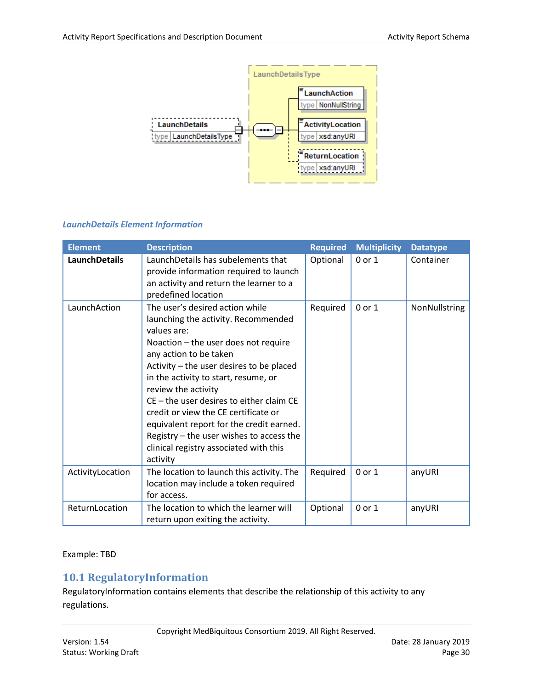

#### *LaunchDetails Element Information*

| <b>Element</b>   | <b>Description</b>                                                                                                                                                                                                                                                                                                                                                                                                                                                                                     | <b>Required</b> | <b>Multiplicity</b> | <b>Datatype</b> |
|------------------|--------------------------------------------------------------------------------------------------------------------------------------------------------------------------------------------------------------------------------------------------------------------------------------------------------------------------------------------------------------------------------------------------------------------------------------------------------------------------------------------------------|-----------------|---------------------|-----------------|
| LaunchDetails    | LaunchDetails has subelements that<br>provide information required to launch<br>an activity and return the learner to a<br>predefined location                                                                                                                                                                                                                                                                                                                                                         | Optional        | $0$ or $1$          | Container       |
| LaunchAction     | The user's desired action while<br>launching the activity. Recommended<br>values are:<br>Noaction - the user does not require<br>any action to be taken<br>Activity – the user desires to be placed<br>in the activity to start, resume, or<br>review the activity<br>$CE$ – the user desires to either claim CE<br>credit or view the CE certificate or<br>equivalent report for the credit earned.<br>Registry - the user wishes to access the<br>clinical registry associated with this<br>activity | Required        | 0 or 1              | NonNullstring   |
| ActivityLocation | The location to launch this activity. The<br>location may include a token required<br>for access.                                                                                                                                                                                                                                                                                                                                                                                                      | Required        | 0 or 1              | anyURI          |
| ReturnLocation   | The location to which the learner will<br>return upon exiting the activity.                                                                                                                                                                                                                                                                                                                                                                                                                            | Optional        | 0 or 1              | anyURI          |

Example: TBD

## <span id="page-29-0"></span>**10.1 RegulatoryInformation**

RegulatoryInformation contains elements that describe the relationship of this activity to any regulations.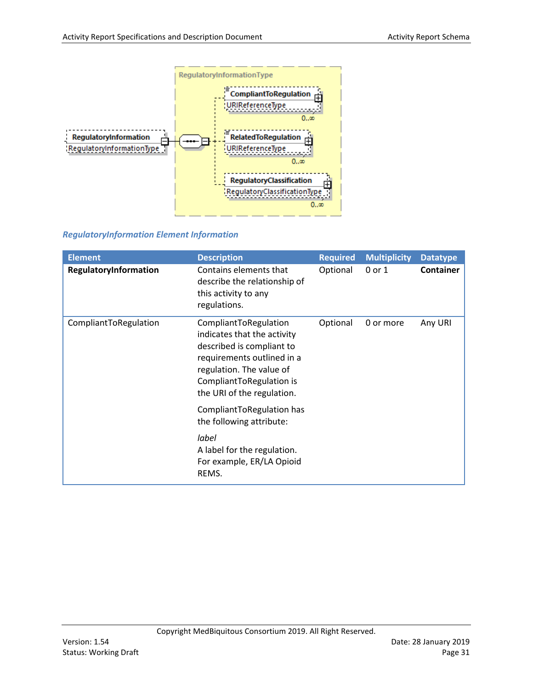

#### *RegulatoryInformation Element Information*

| <b>Element</b>        | <b>Description</b>                                                                                                                                                                                    | <b>Required</b> | <b>Multiplicity</b> | <b>Datatype</b>  |
|-----------------------|-------------------------------------------------------------------------------------------------------------------------------------------------------------------------------------------------------|-----------------|---------------------|------------------|
| RegulatoryInformation | Contains elements that<br>describe the relationship of<br>this activity to any<br>regulations.                                                                                                        | Optional        | 0 or 1              | <b>Container</b> |
| CompliantToRegulation | CompliantToRegulation<br>indicates that the activity<br>described is compliant to<br>requirements outlined in a<br>regulation. The value of<br>CompliantToRegulation is<br>the URI of the regulation. | Optional        | 0 or more           | Any URI          |
|                       | CompliantToRegulation has<br>the following attribute:                                                                                                                                                 |                 |                     |                  |
|                       | label<br>A label for the regulation.<br>For example, ER/LA Opioid<br>REMS.                                                                                                                            |                 |                     |                  |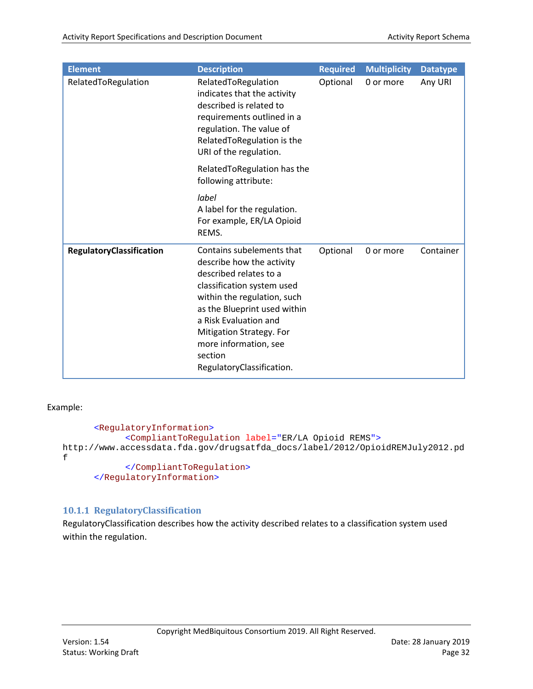| <b>Element</b>           | <b>Description</b>                                                                                                                                                                                                                                                                                  | <b>Required</b> | <b>Multiplicity</b> | <b>Datatype</b> |
|--------------------------|-----------------------------------------------------------------------------------------------------------------------------------------------------------------------------------------------------------------------------------------------------------------------------------------------------|-----------------|---------------------|-----------------|
| RelatedToRegulation      | RelatedToRegulation<br>indicates that the activity<br>described is related to<br>requirements outlined in a<br>regulation. The value of<br>RelatedToRegulation is the<br>URI of the regulation.                                                                                                     | Optional        | 0 or more           | Any URI         |
|                          | RelatedToRegulation has the<br>following attribute:                                                                                                                                                                                                                                                 |                 |                     |                 |
|                          | label<br>A label for the regulation.<br>For example, ER/LA Opioid<br>REMS.                                                                                                                                                                                                                          |                 |                     |                 |
| RegulatoryClassification | Contains subelements that<br>describe how the activity<br>described relates to a<br>classification system used<br>within the regulation, such<br>as the Blueprint used within<br>a Risk Evaluation and<br>Mitigation Strategy. For<br>more information, see<br>section<br>RegulatoryClassification. | Optional        | 0 or more           | Container       |

Example:

```
<RegulatoryInformation>
            <CompliantToRegulation label="ER/LA Opioid REMS">
http://www.accessdata.fda.gov/drugsatfda_docs/label/2012/OpioidREMJuly2012.pd
f
            </CompliantToRegulation>
      </RegulatoryInformation>
```
#### <span id="page-31-0"></span>**10.1.1 RegulatoryClassification**

RegulatoryClassification describes how the activity described relates to a classification system used within the regulation.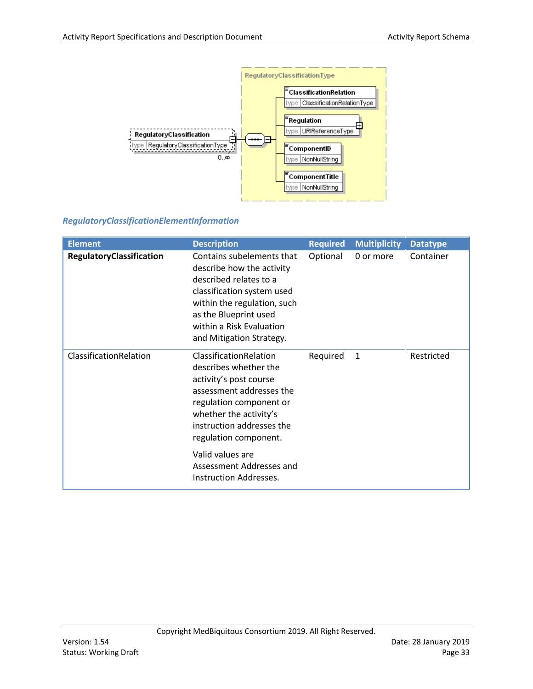

#### *RegulatoryClassificationElementInformation*

| <b>Element</b>           | <b>Description</b>                                                                                                                                                                                                                   | <b>Required</b> | <b>Multiplicity</b> | <b>Datatype</b> |
|--------------------------|--------------------------------------------------------------------------------------------------------------------------------------------------------------------------------------------------------------------------------------|-----------------|---------------------|-----------------|
| RegulatoryClassification | Contains subelements that<br>describe how the activity<br>described relates to a<br>classification system used<br>within the regulation, such<br>as the Blueprint used<br>within a Risk Evaluation<br>and Mitigation Strategy.       | Optional        | 0 or more           | Container       |
| ClassificationRelation   | ClassificationRelation<br>describes whether the<br>activity's post course<br>assessment addresses the<br>regulation component or<br>whether the activity's<br>instruction addresses the<br>regulation component.<br>Valid values are | Required        | 1                   | Restricted      |
|                          | Assessment Addresses and<br>Instruction Addresses.                                                                                                                                                                                   |                 |                     |                 |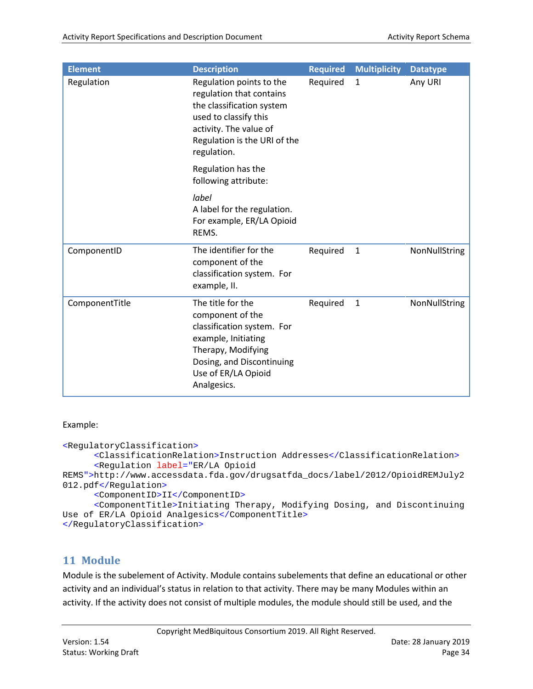| <b>Element</b> | <b>Description</b>                                                                                                                                                                  | <b>Required</b> | <b>Multiplicity</b> | <b>Datatype</b> |
|----------------|-------------------------------------------------------------------------------------------------------------------------------------------------------------------------------------|-----------------|---------------------|-----------------|
| Regulation     | Regulation points to the<br>regulation that contains<br>the classification system<br>used to classify this<br>activity. The value of<br>Regulation is the URI of the<br>regulation. | Required        | $\mathbf{1}$        | Any URI         |
|                | Regulation has the<br>following attribute:                                                                                                                                          |                 |                     |                 |
|                | label<br>A label for the regulation.<br>For example, ER/LA Opioid<br>REMS.                                                                                                          |                 |                     |                 |
| ComponentID    | The identifier for the<br>component of the<br>classification system. For<br>example, II.                                                                                            | Required        | $\mathbf{1}$        | NonNullString   |
| ComponentTitle | The title for the<br>component of the<br>classification system. For<br>example, Initiating<br>Therapy, Modifying<br>Dosing, and Discontinuing<br>Use of ER/LA Opioid<br>Analgesics. | Required        | $\mathbf{1}$        | NonNullString   |

#### Example:

```
<RegulatoryClassification>
      <ClassificationRelation>Instruction Addresses</ClassificationRelation>
      <Regulation label="ER/LA Opioid 
REMS">http://www.accessdata.fda.gov/drugsatfda_docs/label/2012/OpioidREMJuly2
012.pdf</Regulation>
      <ComponentID>II</ComponentID>
      <ComponentTitle>Initiating Therapy, Modifying Dosing, and Discontinuing 
Use of ER/LA Opioid Analgesics</ComponentTitle>
</RegulatoryClassification>
```
## <span id="page-33-0"></span>**11 Module**

Module is the subelement of Activity. Module contains subelements that define an educational or other activity and an individual's status in relation to that activity. There may be many Modules within an activity. If the activity does not consist of multiple modules, the module should still be used, and the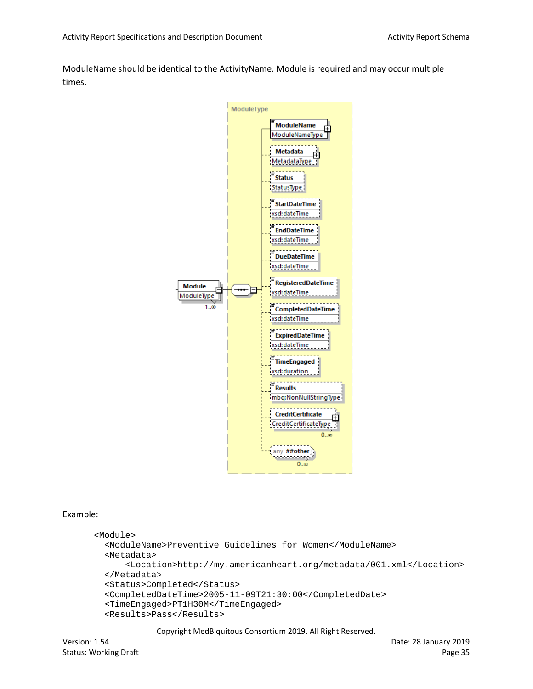ModuleName should be identical to the ActivityName. Module is required and may occur multiple times.



#### Example:

```
<Module>
   <ModuleName>Preventive Guidelines for Women</ModuleName>
   <Metadata>
      <Location>http://my.americanheart.org/metadata/001.xml</Location>
   </Metadata>
   <Status>Completed</Status>
   <CompletedDateTime>2005-11-09T21:30:00</CompletedDate>
   <TimeEngaged>PT1H30M</TimeEngaged>
   <Results>Pass</Results>
```
Copyright MedBiquitous Consortium 2019. All Right Reserved.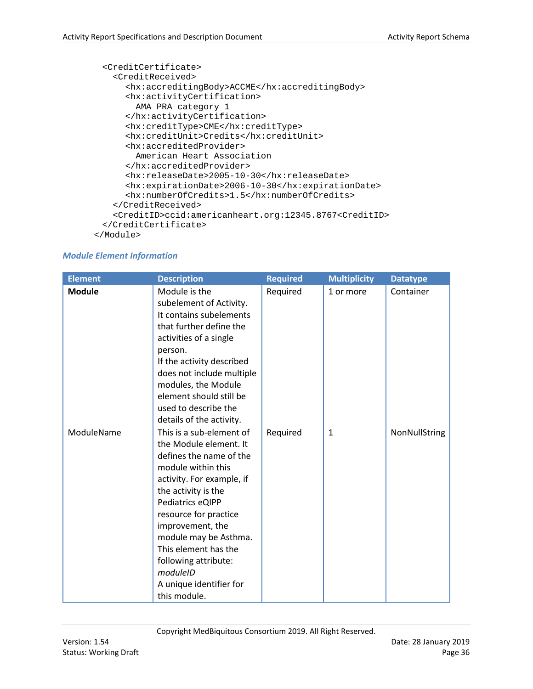```
 <CreditCertificate>
    <CreditReceived>
      <hx:accreditingBody>ACCME</hx:accreditingBody>
      <hx:activityCertification>
        AMA PRA category 1
     </hx:activityCertification>
     <hx:creditType>CME</hx:creditType>
     <hx:creditUnit>Credits</hx:creditUnit>
      <hx:accreditedProvider>
        American Heart Association
      </hx:accreditedProvider>
     <hx:releaseDate>2005-10-30</hx:releaseDate>
     <hx:expirationDate>2006-10-30</hx:expirationDate>
      <hx:numberOfCredits>1.5</hx:numberOfCredits>
    </CreditReceived>
    <CreditID>ccid:americanheart.org:12345.8767<CreditID>
  </CreditCertificate>
</Module>
```
#### *Module Element Information*

| <b>Element</b> | <b>Description</b>                                                                                                                                                                                                                                                                                                                                       | <b>Required</b> | <b>Multiplicity</b> | <b>Datatype</b> |
|----------------|----------------------------------------------------------------------------------------------------------------------------------------------------------------------------------------------------------------------------------------------------------------------------------------------------------------------------------------------------------|-----------------|---------------------|-----------------|
| <b>Module</b>  | Module is the<br>subelement of Activity.<br>It contains subelements<br>that further define the<br>activities of a single<br>person.<br>If the activity described<br>does not include multiple<br>modules, the Module<br>element should still be<br>used to describe the<br>details of the activity.                                                      | Required        | 1 or more           | Container       |
| ModuleName     | This is a sub-element of<br>the Module element. It<br>defines the name of the<br>module within this<br>activity. For example, if<br>the activity is the<br>Pediatrics eQIPP<br>resource for practice<br>improvement, the<br>module may be Asthma.<br>This element has the<br>following attribute:<br>moduleID<br>A unique identifier for<br>this module. | Required        | $\mathbf{1}$        | NonNullString   |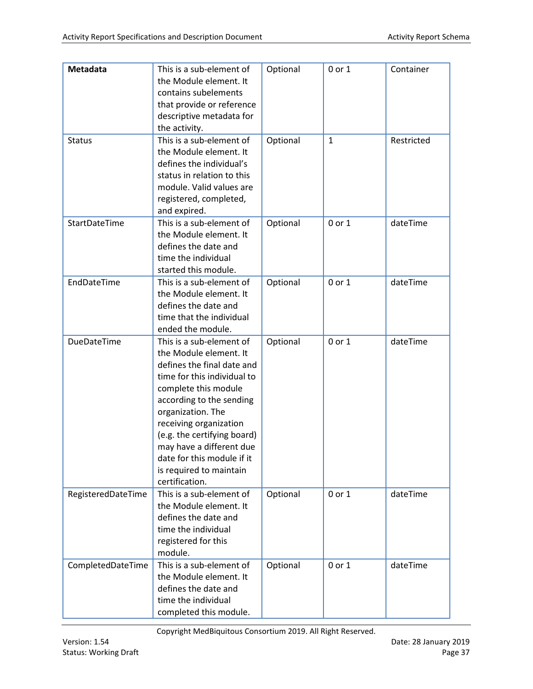| Metadata<br><b>Status</b> | This is a sub-element of<br>the Module element. It<br>contains subelements<br>that provide or reference<br>descriptive metadata for<br>the activity.<br>This is a sub-element of<br>the Module element. It                                                                                                                                               | Optional<br>Optional | 0 or 1<br>$\mathbf{1}$ | Container<br>Restricted |
|---------------------------|----------------------------------------------------------------------------------------------------------------------------------------------------------------------------------------------------------------------------------------------------------------------------------------------------------------------------------------------------------|----------------------|------------------------|-------------------------|
|                           | defines the individual's<br>status in relation to this<br>module. Valid values are<br>registered, completed,<br>and expired.                                                                                                                                                                                                                             |                      |                        |                         |
| StartDateTime             | This is a sub-element of<br>the Module element. It<br>defines the date and<br>time the individual<br>started this module.                                                                                                                                                                                                                                | Optional             | 0 or 1                 | dateTime                |
| EndDateTime               | This is a sub-element of<br>the Module element. It<br>defines the date and<br>time that the individual<br>ended the module.                                                                                                                                                                                                                              | Optional             | 0 or 1                 | dateTime                |
| DueDateTime               | This is a sub-element of<br>the Module element. It<br>defines the final date and<br>time for this individual to<br>complete this module<br>according to the sending<br>organization. The<br>receiving organization<br>(e.g. the certifying board)<br>may have a different due<br>date for this module if it<br>is required to maintain<br>certification. | Optional             | 0 or 1                 | dateTime                |
| RegisteredDateTime        | This is a sub-element of<br>the Module element. It<br>defines the date and<br>time the individual<br>registered for this<br>module.                                                                                                                                                                                                                      | Optional             | 0 or 1                 | dateTime                |
| CompletedDateTime         | This is a sub-element of<br>the Module element. It<br>defines the date and<br>time the individual<br>completed this module.                                                                                                                                                                                                                              | Optional             | 0 or 1                 | dateTime                |

Copyright MedBiquitous Consortium 2019. All Right Reserved.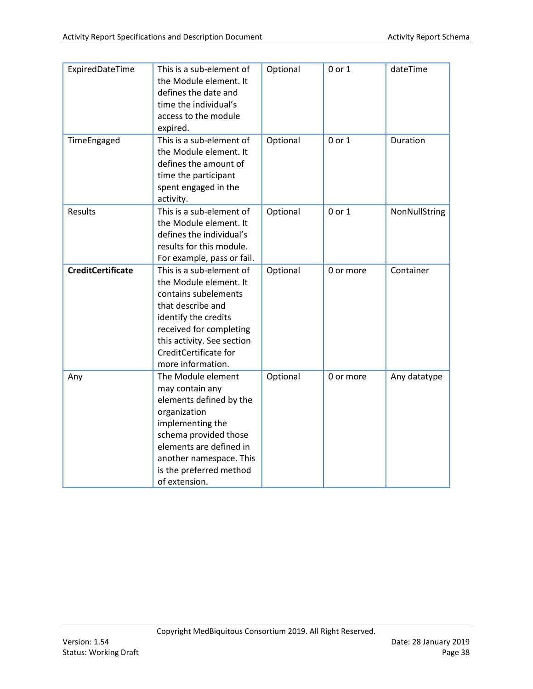| ExpiredDateTime          | This is a sub-element of<br>the Module element. It<br>defines the date and<br>time the individual's<br>access to the module<br>expired.                                                                                         | Optional | 0 or 1     | dateTime      |
|--------------------------|---------------------------------------------------------------------------------------------------------------------------------------------------------------------------------------------------------------------------------|----------|------------|---------------|
| TimeEngaged              | This is a sub-element of<br>the Module element. It<br>defines the amount of<br>time the participant<br>spent engaged in the<br>activity.                                                                                        | Optional | 0 or 1     | Duration      |
| <b>Results</b>           | This is a sub-element of<br>the Module element. It<br>defines the individual's<br>results for this module.<br>For example, pass or fail.                                                                                        | Optional | $0$ or $1$ | NonNullString |
| <b>CreditCertificate</b> | This is a sub-element of<br>the Module element. It<br>contains subelements<br>that describe and<br>identify the credits<br>received for completing<br>this activity. See section<br>CreditCertificate for<br>more information.  | Optional | 0 or more  | Container     |
| Any                      | The Module element<br>may contain any<br>elements defined by the<br>organization<br>implementing the<br>schema provided those<br>elements are defined in<br>another namespace. This<br>is the preferred method<br>of extension. | Optional | 0 or more  | Any datatype  |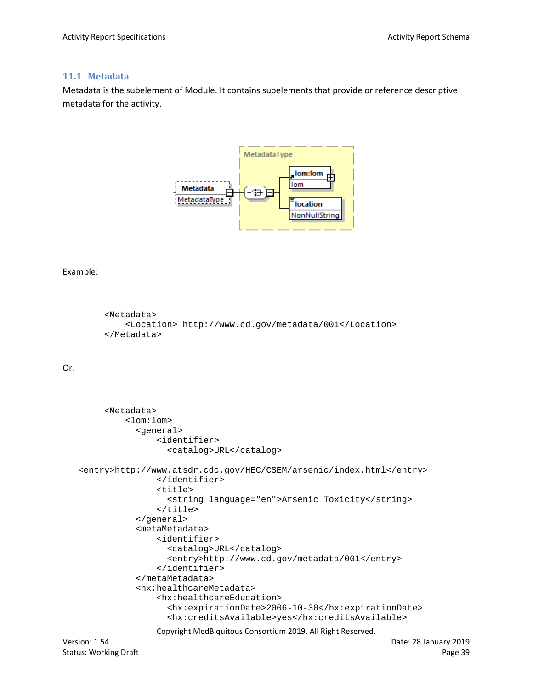#### <span id="page-38-0"></span>**11.1 Metadata**

Metadata is the subelement of Module. It contains subelements that provide or reference descriptive metadata for the activity.



#### Example:

```
 <Metadata>
    <Location> http://www.cd.gov/metadata/001</Location>
 </Metadata>
```
#### Or:

```
 <Metadata>
         <lom:lom>
            <general>
               <identifier>
                  <catalog>URL</catalog>
<entry>http://www.atsdr.cdc.gov/HEC/CSEM/arsenic/index.html</entry>
               </identifier>
               <title>
                  <string language="en">Arsenic Toxicity</string>
               </title>
            </general>
            <metaMetadata>
               <identifier>
                  <catalog>URL</catalog>
                  <entry>http://www.cd.gov/metadata/001</entry>
               </identifier>
            </metaMetadata>
            <hx:healthcareMetadata>
               <hx:healthcareEducation>
                  <hx:expirationDate>2006-10-30</hx:expirationDate>
                  <hx:creditsAvailable>yes</hx:creditsAvailable>
```
Copyright MedBiquitous Consortium 2019. All Right Reserved.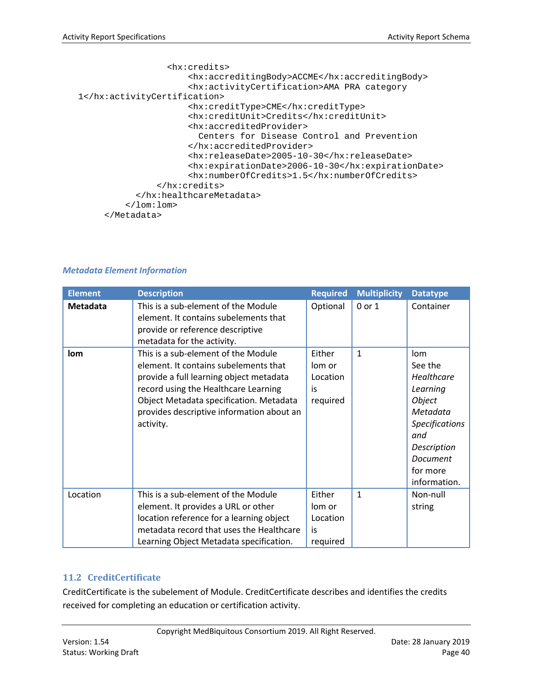```
 <hx:credits>
                     <hx:accreditingBody>ACCME</hx:accreditingBody>
                     <hx:activityCertification>AMA PRA category 
1</hx:activityCertification>
                     <hx:creditType>CME</hx:creditType>
                     <hx:creditUnit>Credits</hx:creditUnit>
                     <hx:accreditedProvider>
                        Centers for Disease Control and Prevention
                     </hx:accreditedProvider>
                     <hx:releaseDate>2005-10-30</hx:releaseDate>
                     <hx:expirationDate>2006-10-30</hx:expirationDate>
                     <hx:numberOfCredits>1.5</hx:numberOfCredits>
               </hx:credits>
            </hx:healthcareMetadata>
         </lom:lom>
      </Metadata>
```

| <b>Element</b> | <b>Description</b>                                                                                                                                                                                                                                                   | <b>Required</b>                                | <b>Multiplicity</b> | <b>Datatype</b>                                                                                                                                       |
|----------------|----------------------------------------------------------------------------------------------------------------------------------------------------------------------------------------------------------------------------------------------------------------------|------------------------------------------------|---------------------|-------------------------------------------------------------------------------------------------------------------------------------------------------|
| Metadata       | This is a sub-element of the Module<br>element. It contains subelements that<br>provide or reference descriptive<br>metadata for the activity.                                                                                                                       | Optional                                       | 0 or 1              | Container                                                                                                                                             |
| lom            | This is a sub-element of the Module<br>element. It contains subelements that<br>provide a full learning object metadata<br>record using the Healthcare Learning<br>Object Metadata specification. Metadata<br>provides descriptive information about an<br>activity. | Either<br>lom or<br>Location<br>is<br>required | $\mathbf{1}$        | lom<br>See the<br>Healthcare<br>Learning<br>Object<br>Metadata<br><b>Specifications</b><br>and<br>Description<br>Document<br>for more<br>information. |
| Location       | This is a sub-element of the Module<br>element. It provides a URL or other<br>location reference for a learning object<br>metadata record that uses the Healthcare<br>Learning Object Metadata specification.                                                        | Either<br>lom or<br>Location<br>is<br>required | $\mathbf{1}$        | Non-null<br>string                                                                                                                                    |

#### *Metadata Element Information*

#### <span id="page-39-0"></span>**11.2 CreditCertificate**

CreditCertificate is the subelement of Module. CreditCertificate describes and identifies the credits received for completing an education or certification activity.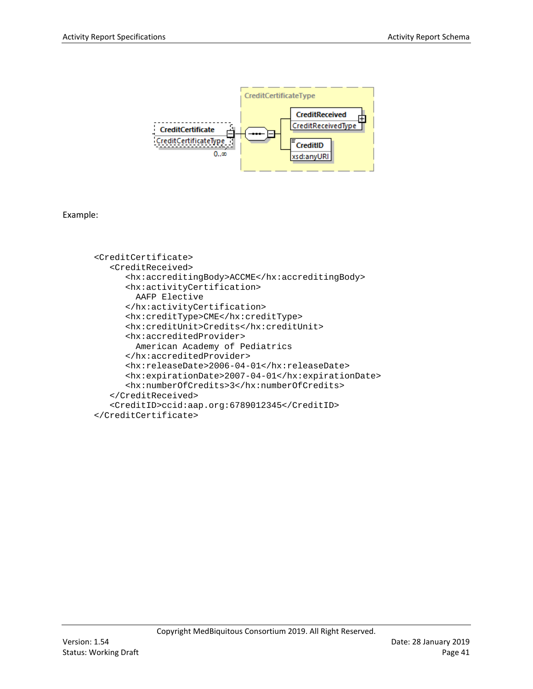

Example:

```
<CreditCertificate>
   <CreditReceived>
      <hx:accreditingBody>ACCME</hx:accreditingBody>
      <hx:activityCertification>
        AAFP Elective
      </hx:activityCertification>
      <hx:creditType>CME</hx:creditType>
      <hx:creditUnit>Credits</hx:creditUnit>
      <hx:accreditedProvider>
        American Academy of Pediatrics
      </hx:accreditedProvider>
      <hx:releaseDate>2006-04-01</hx:releaseDate>
      <hx:expirationDate>2007-04-01</hx:expirationDate>
      <hx:numberOfCredits>3</hx:numberOfCredits>
   </CreditReceived>
   <CreditID>ccid:aap.org:6789012345</CreditID>
</CreditCertificate>
```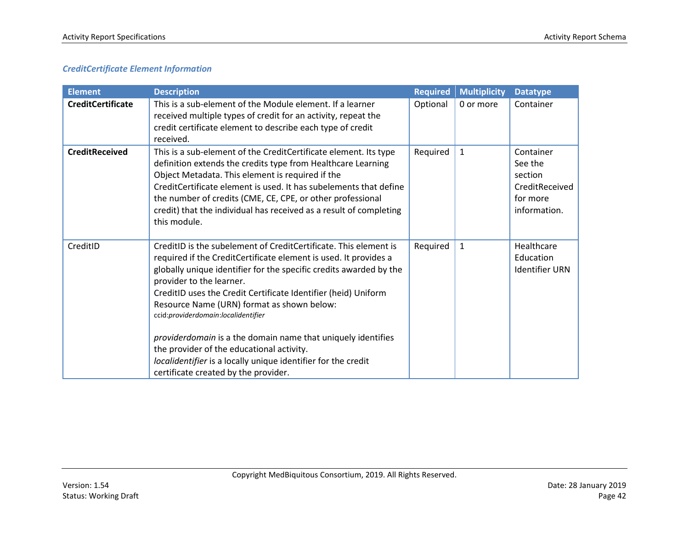#### *CreditCertificate Element Information*

| <b>Element</b>           | <b>Description</b>                                                                                                                                                                                                                                                                                                                                                                                                                                            | <b>Required</b> | <b>Multiplicity</b> | <b>Datatype</b>                                                               |
|--------------------------|---------------------------------------------------------------------------------------------------------------------------------------------------------------------------------------------------------------------------------------------------------------------------------------------------------------------------------------------------------------------------------------------------------------------------------------------------------------|-----------------|---------------------|-------------------------------------------------------------------------------|
| <b>CreditCertificate</b> | This is a sub-element of the Module element. If a learner<br>received multiple types of credit for an activity, repeat the<br>credit certificate element to describe each type of credit<br>received.                                                                                                                                                                                                                                                         | Optional        | 0 or more           | Container                                                                     |
| <b>CreditReceived</b>    | This is a sub-element of the CreditCertificate element. Its type<br>definition extends the credits type from Healthcare Learning<br>Object Metadata. This element is required if the<br>CreditCertificate element is used. It has subelements that define<br>the number of credits (CME, CE, CPE, or other professional<br>credit) that the individual has received as a result of completing<br>this module.                                                 | Required        | 1                   | Container<br>See the<br>section<br>CreditReceived<br>for more<br>information. |
| CreditID                 | CreditID is the subelement of CreditCertificate. This element is<br>required if the CreditCertificate element is used. It provides a<br>globally unique identifier for the specific credits awarded by the<br>provider to the learner.<br>CreditID uses the Credit Certificate Identifier (heid) Uniform<br>Resource Name (URN) format as shown below:<br>ccid:providerdomain:localidentifier<br>providerdomain is a the domain name that uniquely identifies | Required        | $\mathbf{1}$        | Healthcare<br>Education<br><b>Identifier URN</b>                              |
|                          | the provider of the educational activity.<br>localidentifier is a locally unique identifier for the credit<br>certificate created by the provider.                                                                                                                                                                                                                                                                                                            |                 |                     |                                                                               |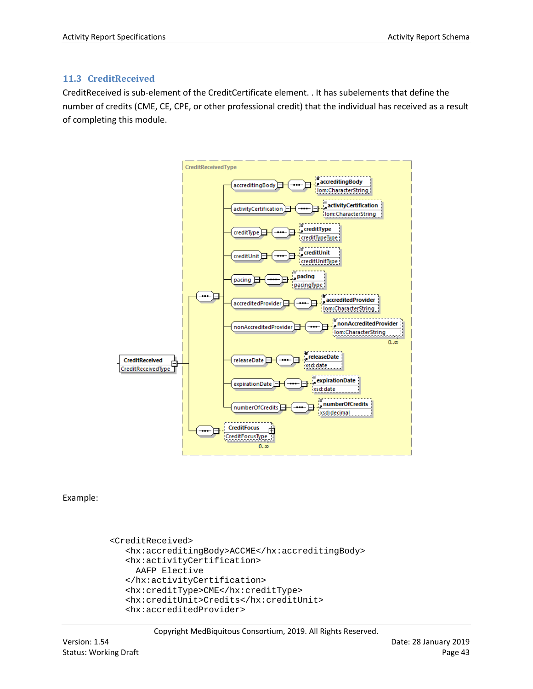#### <span id="page-42-0"></span>**11.3 CreditReceived**

CreditReceived is sub-element of the CreditCertificate element. . It has subelements that define the number of credits (CME, CE, CPE, or other professional credit) that the individual has received as a result of completing this module.



Example:

```
<CreditReceived>
   <hx:accreditingBody>ACCME</hx:accreditingBody>
  <hx:activityCertification>
     AAFP Elective
   </hx:activityCertification>
   <hx:creditType>CME</hx:creditType>
   <hx:creditUnit>Credits</hx:creditUnit>
   <hx:accreditedProvider>
```
Copyright MedBiquitous Consortium, 2019. All Rights Reserved.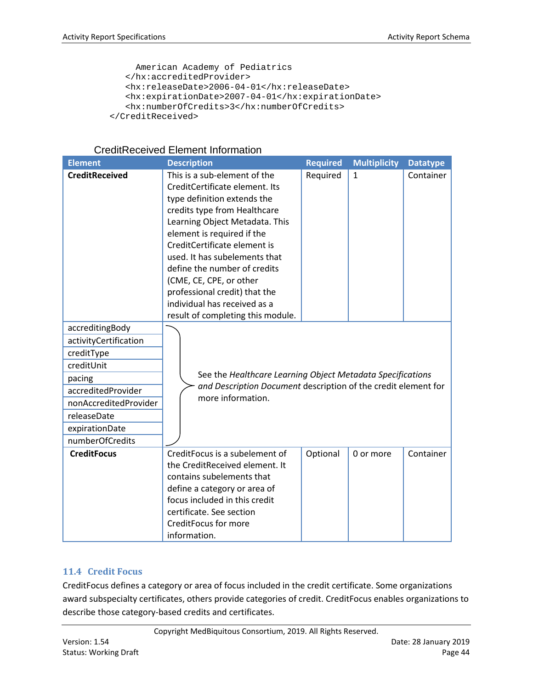```
 American Academy of Pediatrics
  </hx:accreditedProvider>
  <hx:releaseDate>2006-04-01</hx:releaseDate>
  <hx:expirationDate>2007-04-01</hx:expirationDate>
   <hx:numberOfCredits>3</hx:numberOfCredits>
</CreditReceived>
```

| <b>CreditReceived Element Information</b> |  |  |
|-------------------------------------------|--|--|
|-------------------------------------------|--|--|

| <b>Element</b>                                                                                                                                                                    | <b>Description</b>                                                                                                                                                                                                                                                                                                                                                                                                              | <b>Required</b> | <b>Multiplicity</b> | <b>Datatype</b> |
|-----------------------------------------------------------------------------------------------------------------------------------------------------------------------------------|---------------------------------------------------------------------------------------------------------------------------------------------------------------------------------------------------------------------------------------------------------------------------------------------------------------------------------------------------------------------------------------------------------------------------------|-----------------|---------------------|-----------------|
| <b>CreditReceived</b>                                                                                                                                                             | This is a sub-element of the<br>CreditCertificate element. Its<br>type definition extends the<br>credits type from Healthcare<br>Learning Object Metadata. This<br>element is required if the<br>CreditCertificate element is<br>used. It has subelements that<br>define the number of credits<br>(CME, CE, CPE, or other<br>professional credit) that the<br>individual has received as a<br>result of completing this module. | Required        | 1                   | Container       |
| accreditingBody<br>activityCertification<br>creditType<br>creditUnit<br>pacing<br>accreditedProvider<br>nonAccreditedProvider<br>releaseDate<br>expirationDate<br>numberOfCredits | See the Healthcare Learning Object Metadata Specifications<br>and Description Document description of the credit element for<br>more information.                                                                                                                                                                                                                                                                               |                 |                     |                 |
| <b>CreditFocus</b>                                                                                                                                                                | CreditFocus is a subelement of<br>the CreditReceived element. It<br>contains subelements that<br>define a category or area of<br>focus included in this credit<br>certificate. See section<br>CreditFocus for more<br>information.                                                                                                                                                                                              | Optional        | 0 or more           | Container       |

#### <span id="page-43-0"></span>**11.4 Credit Focus**

CreditFocus defines a category or area of focus included in the credit certificate. Some organizations award subspecialty certificates, others provide categories of credit. CreditFocus enables organizations to describe those category-based credits and certificates.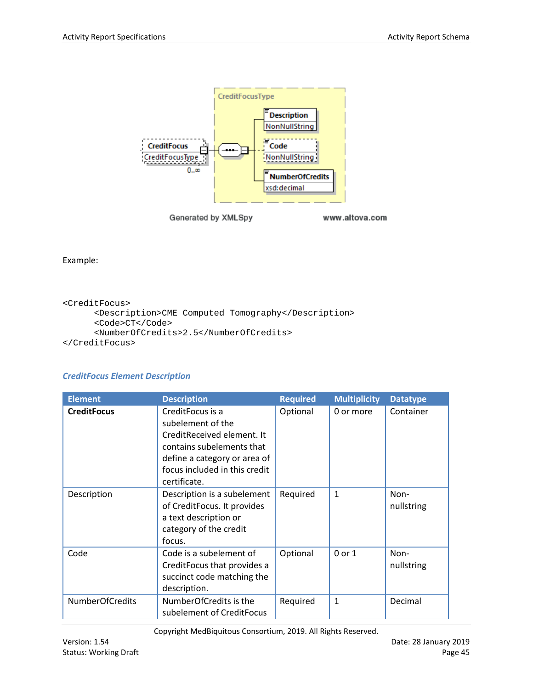

Example:

```
<CreditFocus>
      <Description>CME Computed Tomography</Description>
      <Code>CT</Code>
      <NumberOfCredits>2.5</NumberOfCredits>
</CreditFocus>
```
#### *CreditFocus Element Description*

| <b>Element</b>     | <b>Description</b>                                                                                                                                                                | <b>Required</b> | <b>Multiplicity</b> | <b>Datatype</b>    |
|--------------------|-----------------------------------------------------------------------------------------------------------------------------------------------------------------------------------|-----------------|---------------------|--------------------|
| <b>CreditFocus</b> | CreditFocus is a<br>subelement of the<br>CreditReceived element. It<br>contains subelements that<br>define a category or area of<br>focus included in this credit<br>certificate. | Optional        | 0 or more           | Container          |
| Description        | Description is a subelement<br>of CreditFocus. It provides<br>a text description or<br>category of the credit<br>focus.                                                           | Required        | $\mathbf{1}$        | Non-<br>nullstring |
| Code               | Code is a subelement of<br>CreditFocus that provides a<br>succinct code matching the<br>description.                                                                              | Optional        | $0$ or $1$          | Non-<br>nullstring |
| NumberOfCredits    | NumberOfCredits is the<br>subelement of CreditFocus                                                                                                                               | Required        | 1                   | Decimal            |

Copyright MedBiquitous Consortium, 2019. All Rights Reserved.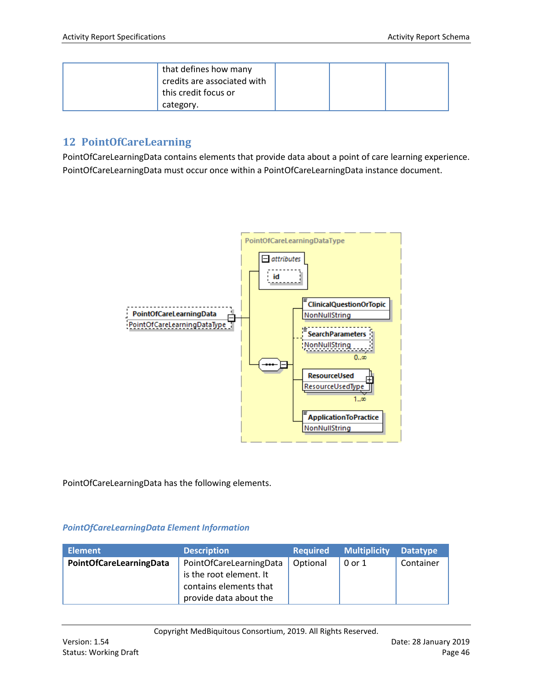| that defines how many<br>$^1$ credits are associated with<br>this credit focus or |  |  |
|-----------------------------------------------------------------------------------|--|--|
| category.                                                                         |  |  |

## <span id="page-45-0"></span>**12 PointOfCareLearning**

PointOfCareLearningData contains elements that provide data about a point of care learning experience. PointOfCareLearningData must occur once within a PointOfCareLearningData instance document.



PointOfCareLearningData has the following elements.

#### *PointOfCareLearningData Element Information*

| <b>Element</b>          | <b>Description</b>      | <b>Required</b> | <b>Multiplicity</b> | <b>Datatype</b> |
|-------------------------|-------------------------|-----------------|---------------------|-----------------|
| PointOfCareLearningData | PointOfCareLearningData | Optional        | 0 or 1              | Container       |
|                         | is the root element. It |                 |                     |                 |
|                         | contains elements that  |                 |                     |                 |
|                         | provide data about the  |                 |                     |                 |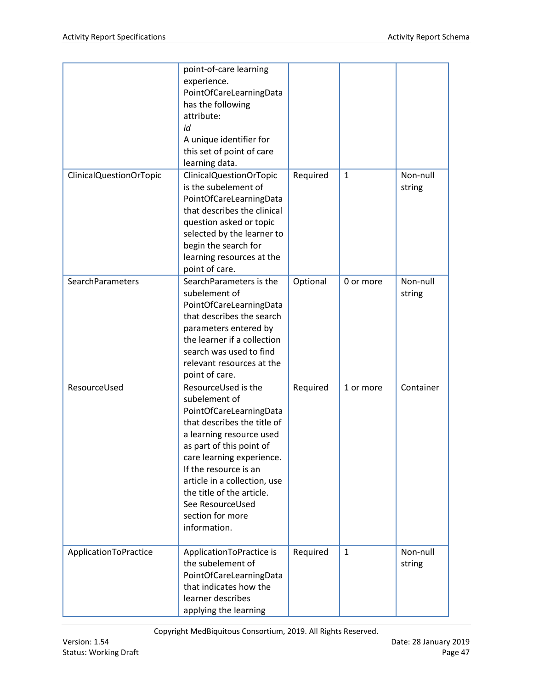|                         | point-of-care learning<br>experience.<br>PointOfCareLearningData<br>has the following<br>attribute:<br>id<br>A unique identifier for<br>this set of point of care<br>learning data.                                                                                                                                               |          |              |                    |
|-------------------------|-----------------------------------------------------------------------------------------------------------------------------------------------------------------------------------------------------------------------------------------------------------------------------------------------------------------------------------|----------|--------------|--------------------|
| ClinicalQuestionOrTopic | ClinicalQuestionOrTopic<br>is the subelement of<br>PointOfCareLearningData<br>that describes the clinical<br>question asked or topic<br>selected by the learner to<br>begin the search for<br>learning resources at the<br>point of care.                                                                                         | Required | $\mathbf{1}$ | Non-null<br>string |
| SearchParameters        | SearchParameters is the<br>subelement of<br>PointOfCareLearningData<br>that describes the search<br>parameters entered by<br>the learner if a collection<br>search was used to find<br>relevant resources at the<br>point of care.                                                                                                | Optional | 0 or more    | Non-null<br>string |
| ResourceUsed            | ResourceUsed is the<br>subelement of<br>PointOfCareLearningData<br>that describes the title of<br>a learning resource used<br>as part of this point of<br>care learning experience.<br>If the resource is an<br>article in a collection, use<br>the title of the article.<br>See ResourceUsed<br>section for more<br>information. | Required | 1 or more    | Container          |
| ApplicationToPractice   | ApplicationToPractice is<br>the subelement of<br>PointOfCareLearningData<br>that indicates how the<br>learner describes<br>applying the learning                                                                                                                                                                                  | Required | $\mathbf{1}$ | Non-null<br>string |

Copyright MedBiquitous Consortium, 2019. All Rights Reserved.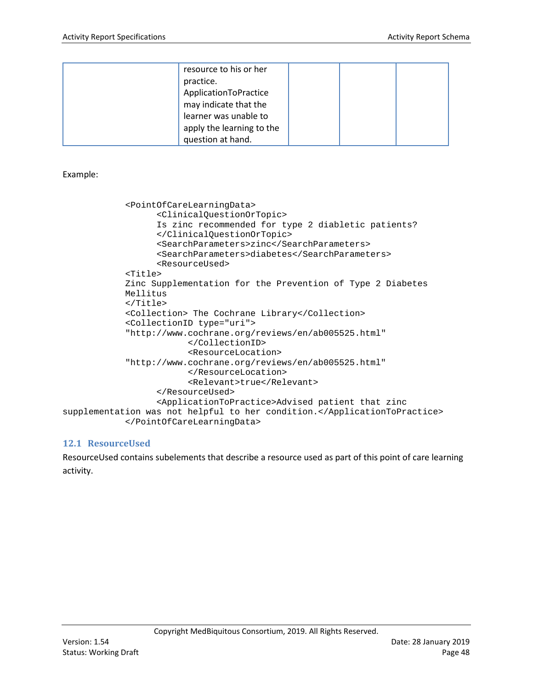| resource to his or her    |  |  |
|---------------------------|--|--|
| practice.                 |  |  |
| ApplicationToPractice     |  |  |
| may indicate that the     |  |  |
| learner was unable to     |  |  |
| apply the learning to the |  |  |
| question at hand.         |  |  |

Example:

```
<PointOfCareLearningData>
                  <ClinicalQuestionOrTopic>
                  Is zinc recommended for type 2 diabletic patients?
                  </ClinicalQuestionOrTopic>
                  <SearchParameters>zinc</SearchParameters>
                  <SearchParameters>diabetes</SearchParameters>
                  <ResourceUsed>
            <Title>
            Zinc Supplementation for the Prevention of Type 2 Diabetes
             Mellitus
            </Title>
            <Collection> The Cochrane Library</Collection>
            <CollectionID type="uri"> 
            "http://www.cochrane.org/reviews/en/ab005525.html"
                        </CollectionID>
                        <ResourceLocation>
            "http://www.cochrane.org/reviews/en/ab005525.html"
                        </ResourceLocation>
                        <Relevant>true</Relevant>
                  </ResourceUsed>
                  <ApplicationToPractice>Advised patient that zinc 
supplementation was not helpful to her condition.</ApplicationToPractice>
            </PointOfCareLearningData>
```
#### <span id="page-47-0"></span>**12.1 ResourceUsed**

ResourceUsed contains subelements that describe a resource used as part of this point of care learning activity.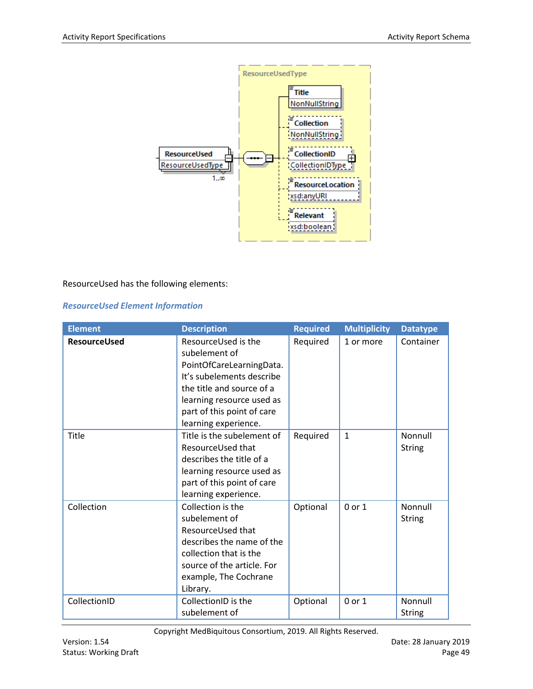

#### ResourceUsed has the following elements:

#### *ResourceUsed Element Information*

| <b>Element</b>      | <b>Description</b>                                                                                                                                                                                            | <b>Required</b> | <b>Multiplicity</b> | <b>Datatype</b>          |
|---------------------|---------------------------------------------------------------------------------------------------------------------------------------------------------------------------------------------------------------|-----------------|---------------------|--------------------------|
| <b>ResourceUsed</b> | ResourceUsed is the<br>subelement of<br>PointOfCareLearningData.<br>It's subelements describe<br>the title and source of a<br>learning resource used as<br>part of this point of care<br>learning experience. | Required        | 1 or more           | Container                |
| Title               | Title is the subelement of<br>ResourceUsed that<br>describes the title of a<br>learning resource used as<br>part of this point of care<br>learning experience.                                                | Required        | $\mathbf{1}$        | Nonnull<br><b>String</b> |
| Collection          | Collection is the<br>subelement of<br>ResourceUsed that<br>describes the name of the<br>collection that is the<br>source of the article. For<br>example, The Cochrane<br>Library.                             | Optional        | 0 or 1              | Nonnull<br><b>String</b> |
| CollectionID        | CollectionID is the<br>subelement of                                                                                                                                                                          | Optional        | $0$ or $1$          | Nonnull<br><b>String</b> |

Copyright MedBiquitous Consortium, 2019. All Rights Reserved.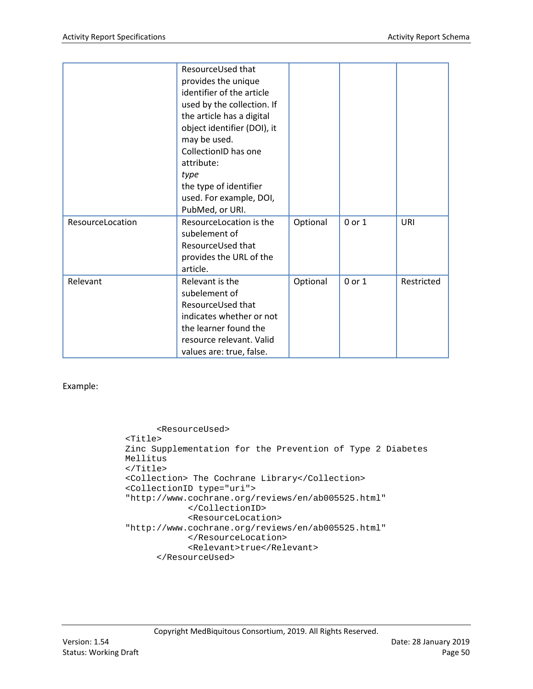|                  | ResourceUsed that<br>provides the unique<br>identifier of the article<br>used by the collection. If<br>the article has a digital<br>object identifier (DOI), it<br>may be used.<br>CollectionID has one<br>attribute:<br>type<br>the type of identifier<br>used. For example, DOI,<br>PubMed, or URI. |          |        |            |
|------------------|-------------------------------------------------------------------------------------------------------------------------------------------------------------------------------------------------------------------------------------------------------------------------------------------------------|----------|--------|------------|
| ResourceLocation | ResourceLocation is the<br>subelement of<br>ResourceUsed that<br>provides the URL of the<br>article.                                                                                                                                                                                                  | Optional | 0 or 1 | URI        |
| Relevant         | Relevant is the<br>subelement of<br>ResourceUsed that<br>indicates whether or not<br>the learner found the<br>resource relevant. Valid<br>values are: true, false.                                                                                                                                    | Optional | 0 or 1 | Restricted |

Example:

```
<ResourceUsed>
<Title>
Zinc Supplementation for the Prevention of Type 2 Diabetes
 Mellitus
</Title>
<Collection> The Cochrane Library</Collection>
<CollectionID type="uri"> 
"http://www.cochrane.org/reviews/en/ab005525.html"
            </CollectionID>
            <ResourceLocation>
"http://www.cochrane.org/reviews/en/ab005525.html"
            </ResourceLocation>
            <Relevant>true</Relevant>
      </ResourceUsed>
```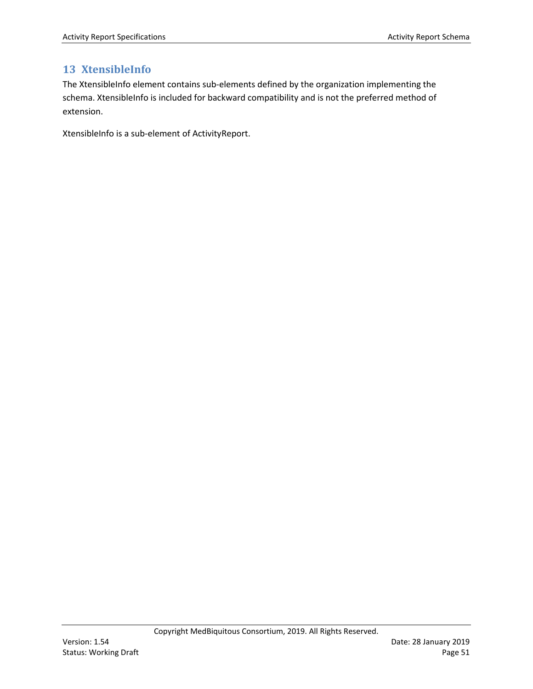## <span id="page-50-0"></span>**13 XtensibleInfo**

The XtensibleInfo element contains sub-elements defined by the organization implementing the schema. XtensibleInfo is included for backward compatibility and is not the preferred method of extension.

XtensibleInfo is a sub-element of ActivityReport.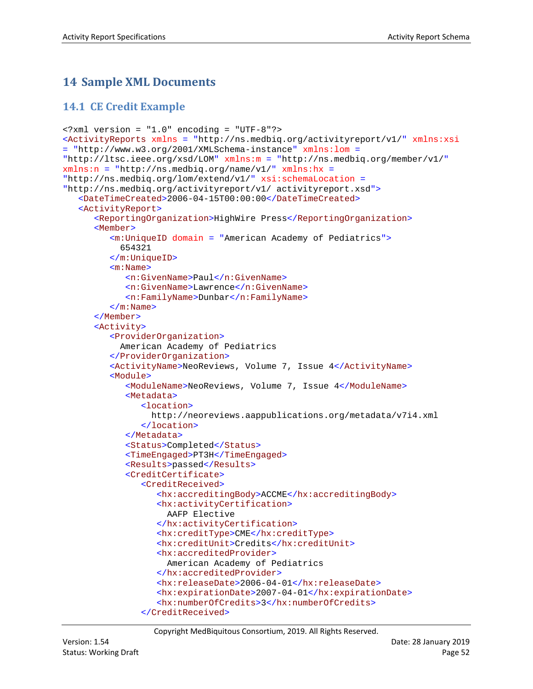# <span id="page-51-0"></span>**14 Sample XML Documents**

## <span id="page-51-1"></span>**14.1 CE Credit Example**

```
<?xml version = "1.0" encoding = "UTF-8"?>
<ActivityReports xmlns = "http://ns.medbiq.org/activityreport/v1/" xmlns:xsi 
= "http://www.w3.org/2001/XMLSchema-instance" xmlns:lom = 
"http://ltsc.ieee.org/xsd/LOM" xmlns:m = "http://ns.medbiq.org/member/v1/"
xmlns:n = "http://ns.medbiq.org/name/v1/" xmlns:hx = 
"http://ns.medbiq.org/lom/extend/v1/" xsi:schemaLocation = 
"http://ns.medbiq.org/activityreport/v1/ activityreport.xsd">
   <DateTimeCreated>2006-04-15T00:00:00</DateTimeCreated>
   <ActivityReport>
      <ReportingOrganization>HighWire Press</ReportingOrganization>
      <Member>
         <m:UniqueID domain = "American Academy of Pediatrics">
            654321
         </m:UniqueID>
         <m:Name>
            <n:GivenName>Paul</n:GivenName>
            <n:GivenName>Lawrence</n:GivenName>
            <n:FamilyName>Dunbar</n:FamilyName>
         \langle m:Name\rangle</Member>
      <Activity>
         <ProviderOrganization>
            American Academy of Pediatrics
         </ProviderOrganization>
         <ActivityName>NeoReviews, Volume 7, Issue 4</ActivityName>
         <Module>
            <ModuleName>NeoReviews, Volume 7, Issue 4</ModuleName>
            <Metadata>
               <location>
                  http://neoreviews.aappublications.org/metadata/v7i4.xml
               </location>
            </Metadata>
            <Status>Completed</Status>
            <TimeEngaged>PT3H</TimeEngaged>
            <Results>passed</Results>
            <CreditCertificate>
               <CreditReceived>
                  <hx:accreditingBody>ACCME</hx:accreditingBody>
                  <hx:activityCertification>
                     AAFP Elective
                  </hx:activityCertification>
                  <hx:creditType>CME</hx:creditType>
                  <hx:creditUnit>Credits</hx:creditUnit>
                  <hx:accreditedProvider>
                     American Academy of Pediatrics
                  </hx:accreditedProvider>
                  <hx:releaseDate>2006-04-01</hx:releaseDate>
                  <hx:expirationDate>2007-04-01</hx:expirationDate>
                  <hx:numberOfCredits>3</hx:numberOfCredits>
               </CreditReceived>
```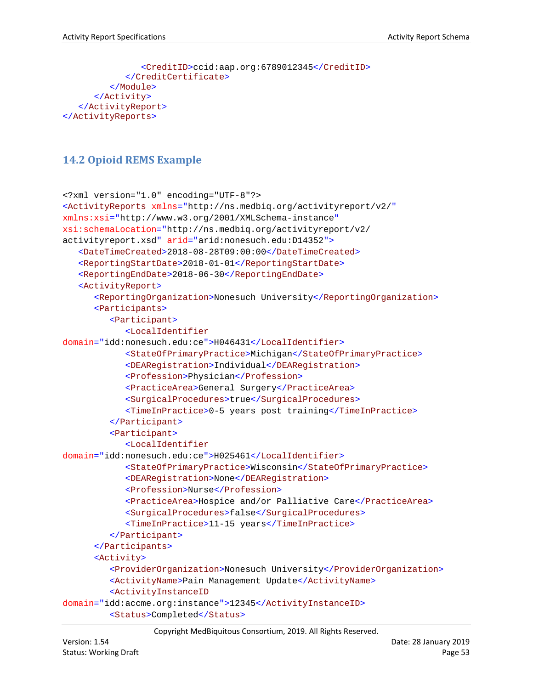```
<CreditID>ccid:aap.org:6789012345</CreditID>
            </CreditCertificate>
         </Module>
      </Activity>
   </ActivityReport>
</ActivityReports>
```
## <span id="page-52-0"></span>**14.2 Opioid REMS Example**

```
<?xml version="1.0" encoding="UTF-8"?>
<ActivityReports xmlns="http://ns.medbiq.org/activityreport/v2/"
xmlns:xsi="http://www.w3.org/2001/XMLSchema-instance"
xsi:schemaLocation="http://ns.medbiq.org/activityreport/v2/ 
activityreport.xsd" arid="arid:nonesuch.edu:D14352">
   <DateTimeCreated>2018-08-28T09:00:00</DateTimeCreated>
   <ReportingStartDate>2018-01-01</ReportingStartDate>
   <ReportingEndDate>2018-06-30</ReportingEndDate>
   <ActivityReport>
      <ReportingOrganization>Nonesuch University</ReportingOrganization>
      <Participants>
         <Participant>
            <LocalIdentifier
domain="idd:nonesuch.edu:ce">H046431</LocalIdentifier>
            <StateOfPrimaryPractice>Michigan</StateOfPrimaryPractice>
            <DEARegistration>Individual</DEARegistration>
            <Profession>Physician</Profession>
            <PracticeArea>General Surgery</PracticeArea>
            <SurgicalProcedures>true</SurgicalProcedures>
            <TimeInPractice>0-5 years post training</TimeInPractice>
         </Participant>
         <Participant>
            <LocalIdentifier
domain="idd:nonesuch.edu:ce">H025461</LocalIdentifier>
            <StateOfPrimaryPractice>Wisconsin</StateOfPrimaryPractice>
            <DEARegistration>None</DEARegistration>
            <Profession>Nurse</Profession>
            <PracticeArea>Hospice and/or Palliative Care</PracticeArea>
            <SurgicalProcedures>false</SurgicalProcedures>
            <TimeInPractice>11-15 years</TimeInPractice>
         </Participant>
      </Participants>
      <Activity>
         <ProviderOrganization>Nonesuch University</ProviderOrganization>
         <ActivityName>Pain Management Update</ActivityName>
         <ActivityInstanceID
domain="idd:accme.org:instance">12345</ActivityInstanceID>
         <Status>Completed</Status>
```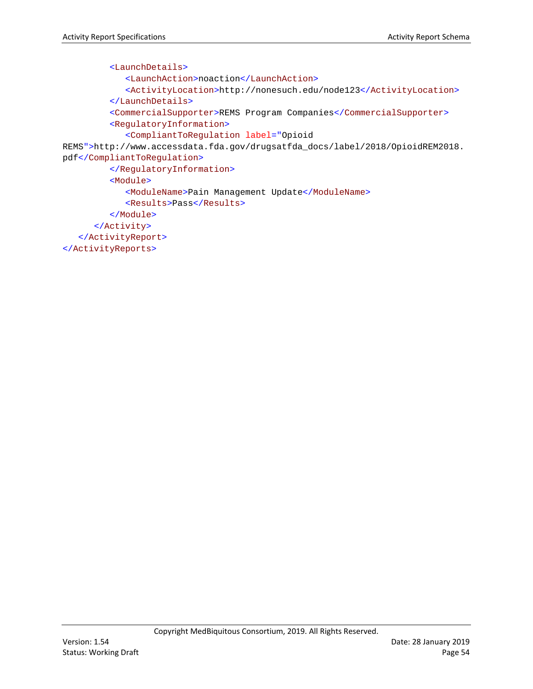```
<LaunchDetails>
            <LaunchAction>noaction</LaunchAction>
            <ActivityLocation>http://nonesuch.edu/node123</ActivityLocation>
         </LaunchDetails>
         <CommercialSupporter>REMS Program Companies</CommercialSupporter>
         <RegulatoryInformation>
            <CompliantToRegulation label="Opioid 
REMS">http://www.accessdata.fda.gov/drugsatfda_docs/label/2018/OpioidREM2018.
pdf</CompliantToRegulation>
         </RegulatoryInformation>
         <Module>
            <ModuleName>Pain Management Update</ModuleName>
            <Results>Pass</Results>
         </Module>
      </Activity>
   </ActivityReport>
</ActivityReports>
```